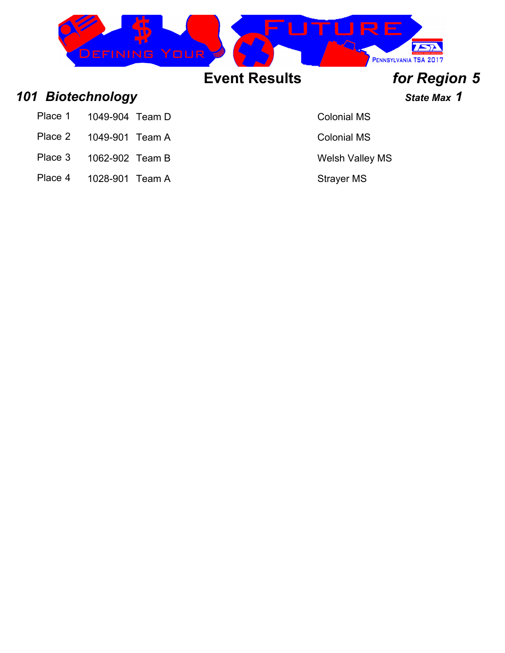

### *101 Biotechnology State Max 1*

- Place 1 1049-904 Team D Colonial MS
- Place 2 1049-901 Team A Colonial MS
- Place 3 1062-902 Team B Welsh Valley MS
- Place 4 1028-901 Team A Strayer MS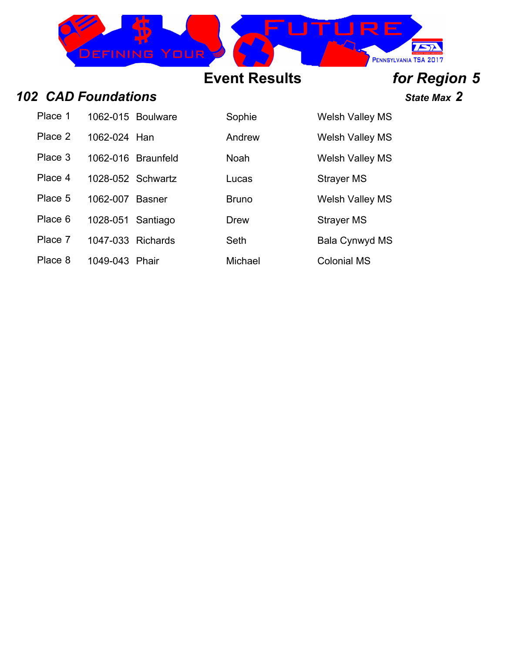

### *102 CAD Foundations State Max 2*

| Place 1 |                   | 1062-015 Boulware  | Sophie       | <b>Welsh Valley</b> |
|---------|-------------------|--------------------|--------------|---------------------|
| Place 2 | 1062-024 Han      |                    | Andrew       | <b>Welsh Valley</b> |
| Place 3 |                   | 1062-016 Braunfeld | Noah         | <b>Welsh Valley</b> |
| Place 4 |                   | 1028-052 Schwartz  | Lucas        | Strayer MS          |
| Place 5 | 1062-007 Basner   |                    | <b>Bruno</b> | <b>Welsh Valley</b> |
| Place 6 | 1028-051 Santiago |                    | <b>Drew</b>  | Strayer MS          |
| Place 7 | 1047-033 Richards |                    | Seth         | <b>Bala Cynwyd</b>  |
| Place 8 | 1049-043 Phair    |                    | Michael      | <b>Colonial MS</b>  |

Sophie Welsh Valley MS Andrew Welsh Valley MS

Noah Welsh Valley MS

Bruno Welsh Valley MS

Seth Bala Cynwyd MS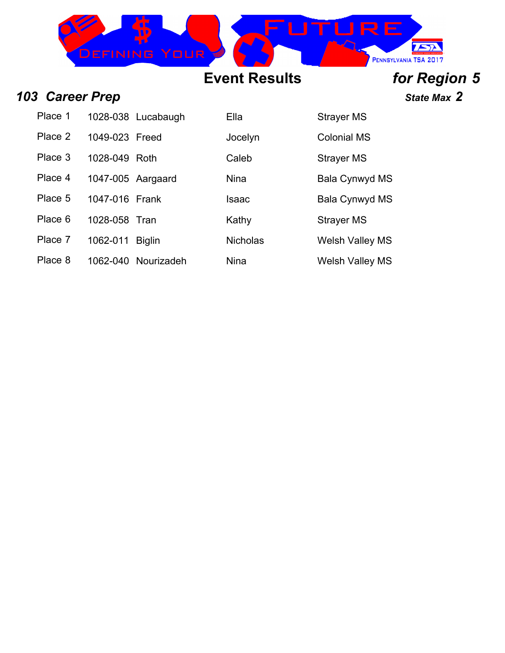

### *103 Career Prep State Max 2*

| Place 1 |                   | 1028-038 Lucabaugh | Ella        | Strayer MS            |
|---------|-------------------|--------------------|-------------|-----------------------|
| Place 2 | 1049-023 Freed    |                    | Jocelyn     | <b>Colonial MS</b>    |
| Place 3 | 1028-049 Roth     |                    | Caleb       | <b>Strayer MS</b>     |
| Place 4 | 1047-005 Aargaard |                    | <b>Nina</b> | <b>Bala Cynwyd MS</b> |
| Place 5 | 1047-016 Frank    |                    | Isaac       | Bala Cynwyd MS        |

- Place 6 1028-058 Tran Kathy Kathy Strayer MS
- 
- Place 8 1062-040 Nourizadeh Nina Nina Welsh Valley MS

Place 7 1062-011 Biglin Nicholas Welsh Valley MS

# **Event Results** *for Region 5*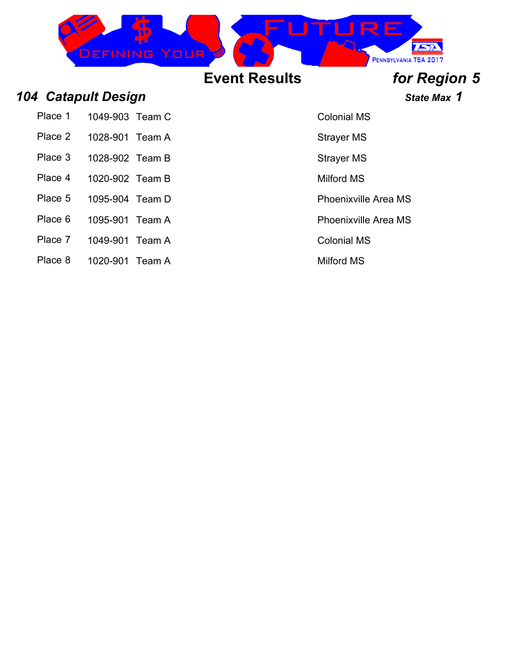

### *104 Catapult Design State Max 1*

Place 1 1049-903 Team C Colonial MS

- Place 2 1028-901 Team A Strayer MS
- Place 3 1028-902 Team B Strayer MS
- 
- Place 4 1020-902 Team B Milford MS
- Place 5 1095-904 Team D Place 5 1095-904 Team D
- Place 6 1095-901 Team A Place 6 1095-901 Team A
- Place 7 1049-901 Team A Colonial MS
- Place 8 1020-901 Team A Milford MS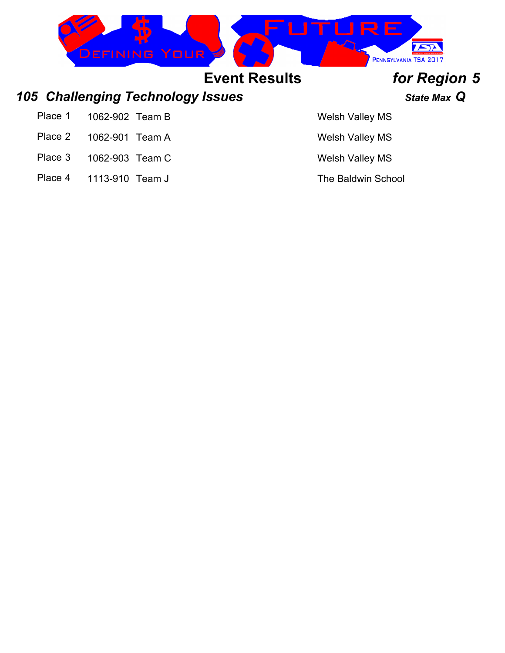

- Place 2 1062-901 Team A Welsh Valley MS
- Place 3 1062-903 Team C Welsh Valley MS
- Place 4 1113-910 Team J The Baldwin School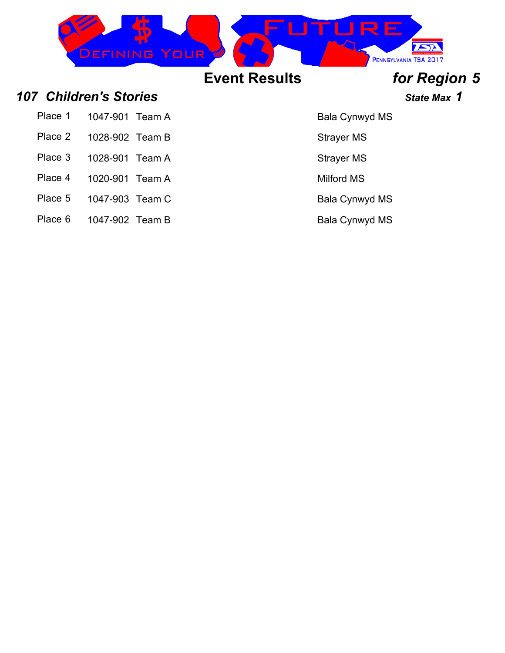

### *107 Children's Stories State Max 1*

| Place 1 | 1047-901 Team A |  |
|---------|-----------------|--|
|         |                 |  |

- Place 2 1028-902 Team B Strayer MS
- Place 3 1028-901 Team A Strayer MS
- 
- Place 4 1020-901 Team A Milford MS
- Place 5 1047-903 Team C Black Bala Cynwyd MS
- Place 6 1047-902 Team B Bala Cynwyd MS

Bala Cynwyd MS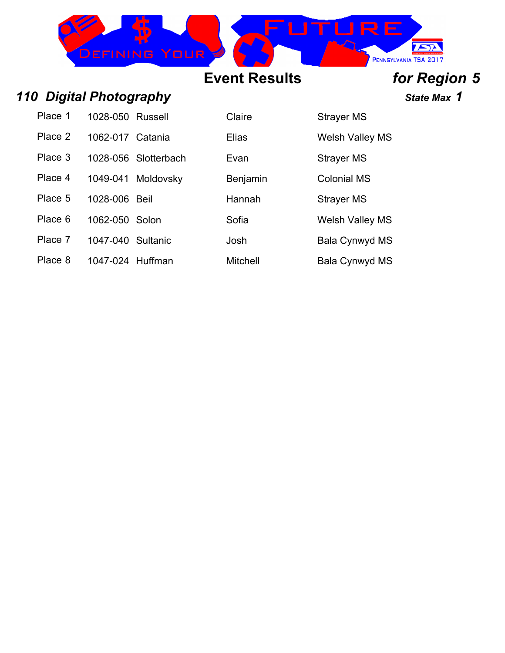

### *110 Digital Photography State Max 1*

| Place 1 | 1028-050 Russell  |                      |
|---------|-------------------|----------------------|
| Place 2 | 1062-017 Catania  |                      |
| Place 3 |                   | 1028-056 Slotterbach |
| Place 4 |                   | 1049-041 Moldovsky   |
| Place 5 | 1028-006 Beil     |                      |
| Place 6 | 1062-050 Solon    |                      |
| Place 7 | 1047-040 Sultanic |                      |
| Place 8 | 1047-024 Huffman  |                      |

**Claire** 1028-2012 Strayer MS

Place 2 1062-017 Catania Elias Welsh Valley MS Evan Strayer MS

Benjamin Colonial MS

Hannah Strayer MS

Sofia 6 1062-2062 Welsh Valley MS

Josh Bala Cynwyd MS

Mitchell Bala Cynwyd MS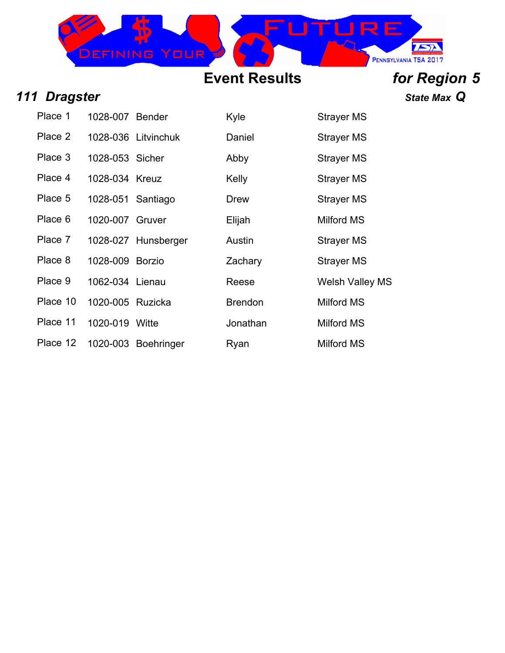

### *111 Dragster State Max Q*

| Place 1  | 1028-007 Bender   |                     | Kyle           | <b>Strayer MS</b>      |
|----------|-------------------|---------------------|----------------|------------------------|
| Place 2  |                   | 1028-036 Litvinchuk | Daniel         | <b>Strayer MS</b>      |
| Place 3  | 1028-053 Sicher   |                     | Abby           | Strayer MS             |
| Place 4  | 1028-034 Kreuz    |                     | Kelly          | <b>Strayer MS</b>      |
| Place 5  | 1028-051 Santiago |                     | <b>Drew</b>    | <b>Strayer MS</b>      |
| Place 6  | 1020-007 Gruver   |                     | Elijah         | Milford MS             |
| Place 7  |                   | 1028-027 Hunsberger | Austin         | Strayer MS             |
| Place 8  | 1028-009 Borzio   |                     | Zachary        | <b>Strayer MS</b>      |
| Place 9  | 1062-034 Lienau   |                     | Reese          | <b>Welsh Valley MS</b> |
| Place 10 | 1020-005 Ruzicka  |                     | <b>Brendon</b> | Milford MS             |
| Place 11 | 1020-019 Witte    |                     | Jonathan       | Milford MS             |
| Place 12 |                   | 1020-003 Boehringer | Ryan           | <b>Milford MS</b>      |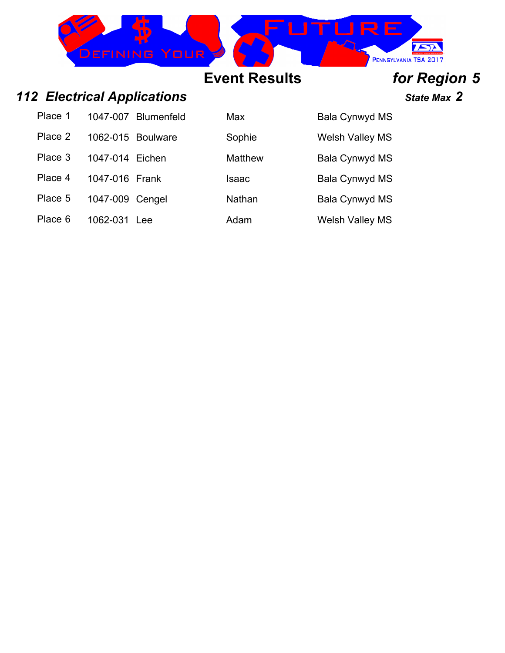

### *112 Electrical Applications State Max 2*

| Place 1 |                   | 1047-007 Blumenfeld |
|---------|-------------------|---------------------|
| Place 2 | 1062-015 Boulware |                     |
| Place 3 | 1047-014 Eichen   |                     |
| Place 4 | 1047-016 Frank    |                     |
| Place 5 | 1047-009 Cengel   |                     |
| Place 6 | 1062-031 Lee      |                     |

| Place 1 |                 | 1047-007 Blumenfeld | Max     | <b>Bala Cynwyd MS</b>  |
|---------|-----------------|---------------------|---------|------------------------|
| Place 2 |                 | 1062-015 Boulware   | Sophie  | <b>Welsh Valley MS</b> |
| Place 3 | 1047-014 Eichen |                     | Matthew | <b>Bala Cynwyd MS</b>  |
| Place 4 | 1047-016 Frank  |                     | Isaac   | <b>Bala Cynwyd MS</b>  |
| Place 5 | 1047-009 Cengel |                     | Nathan  | <b>Bala Cynwyd MS</b>  |
| Place 6 | 1062-031        | Lee                 | Adam    | <b>Welsh Valley MS</b> |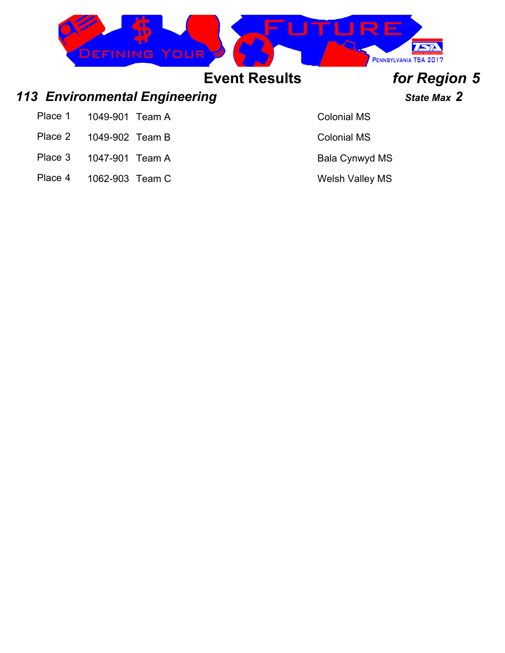|       | <b>DEFINING YOUR</b>                 |                      | IIRE               | PENNSYLVANIA TSA 2017 |  |
|-------|--------------------------------------|----------------------|--------------------|-----------------------|--|
|       |                                      | <b>Event Results</b> |                    | for Region 5          |  |
|       | <b>113 Environmental Engineering</b> |                      |                    | <b>State Max 2</b>    |  |
| Place | 1049-901<br>Геаm A                   |                      | <b>Colonial MS</b> |                       |  |

- Place 2 1049-902 Team B Colonial MS
- Place 3 1047-901 Team A Bala Cynwyd MS
- Place 4 1062-903 Team C Welsh Valley MS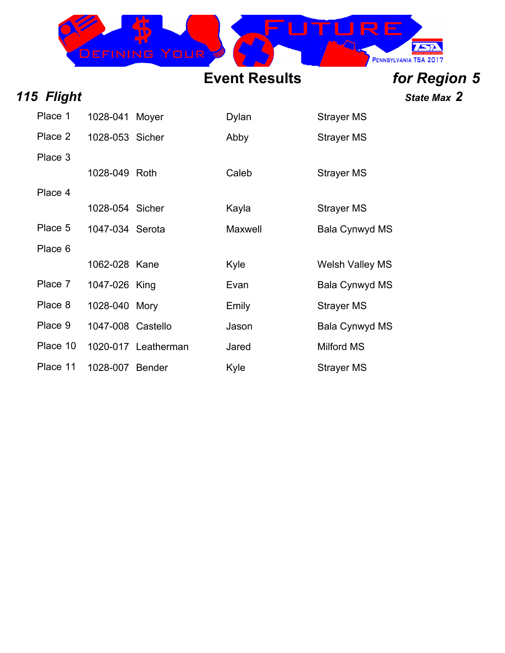

*115 Flight State Max 2*

| Place 1  | 1028-041 Moyer    |                     | <b>Dylan</b> | Strayer MS             |
|----------|-------------------|---------------------|--------------|------------------------|
| Place 2  | 1028-053 Sicher   |                     | Abby         | <b>Strayer MS</b>      |
| Place 3  |                   |                     |              |                        |
|          | 1028-049 Roth     |                     | Caleb        | Strayer MS             |
| Place 4  |                   |                     |              |                        |
|          | 1028-054 Sicher   |                     | Kayla        | <b>Strayer MS</b>      |
| Place 5  | 1047-034 Serota   |                     | Maxwell      | Bala Cynwyd MS         |
| Place 6  |                   |                     |              |                        |
|          | 1062-028 Kane     |                     | Kyle         | <b>Welsh Valley MS</b> |
| Place 7  | 1047-026 King     |                     | Evan         | Bala Cynwyd MS         |
| Place 8  | 1028-040 Mory     |                     | Emily        | <b>Strayer MS</b>      |
| Place 9  | 1047-008 Castello |                     | Jason        | Bala Cynwyd MS         |
| Place 10 |                   | 1020-017 Leatherman | Jared        | <b>Milford MS</b>      |
| Place 11 | 1028-007 Bender   |                     | Kyle         | <b>Strayer MS</b>      |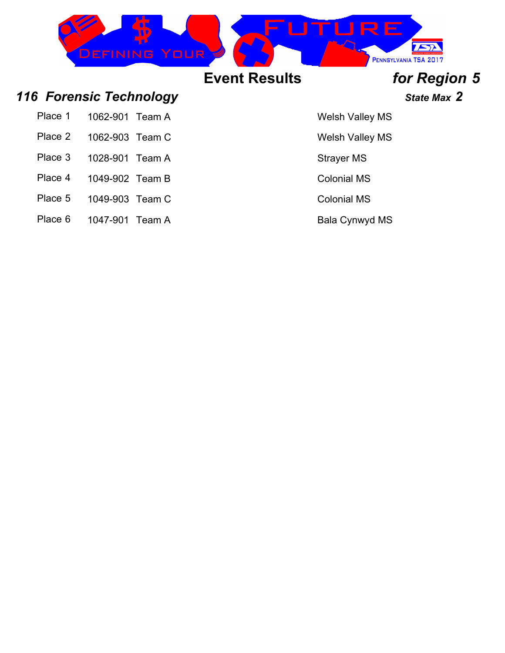

- Place 5 1049-903 Team C Colonial MS
- Place 6 1047-901 Team A Bala Cynwyd MS
- -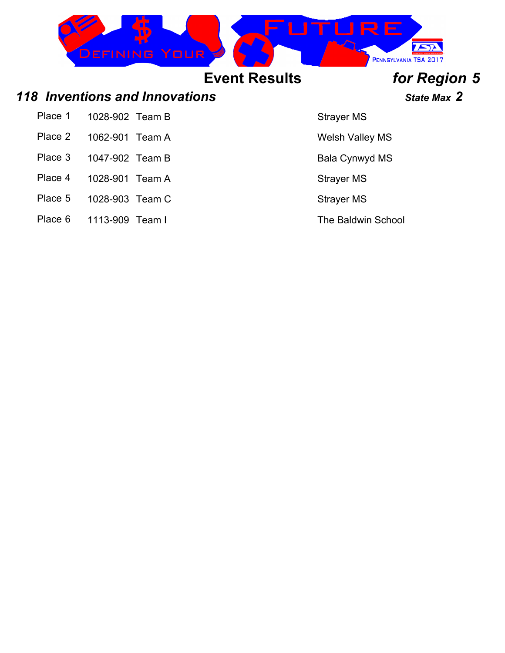|         | <b>DEFINING YOUR</b>           |                      | ▎▏▙▘┝▁                 | PENNSYLVANIA TSA 2017 |
|---------|--------------------------------|----------------------|------------------------|-----------------------|
|         |                                | <b>Event Results</b> |                        | for Region 5          |
|         | 118 Inventions and Innovations |                      |                        | State Max 2           |
| Place 1 | 1028-902 Team B                |                      | <b>Strayer MS</b>      |                       |
| Place 2 | 1062-901<br>Team A             |                      | <b>Welsh Valley MS</b> |                       |

- Place 3 1047-902 Team B Bala Cynwyd MS
- Place 4 1028-901 Team A Strayer MS
- Place 5 1028-903 Team C Strayer MS
- Place 6 1113-909 Team I The Baldwin School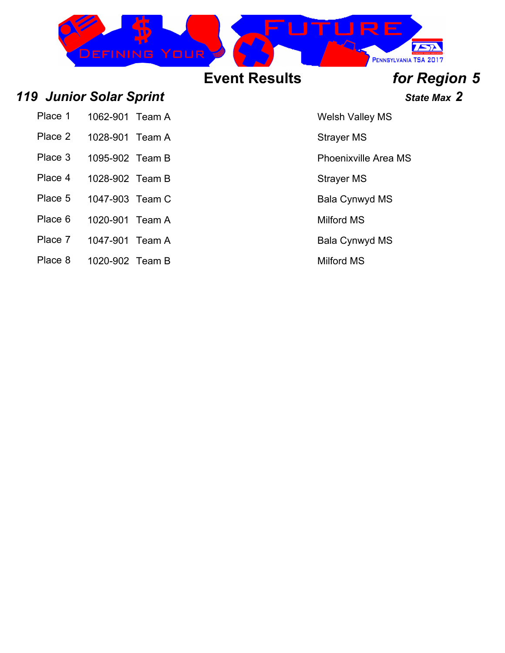

Place 1 1062-901 Team A Welsh Valley MS

- Place 2 1028-901 Team A Strayer MS
- Place 3 1095-902 Team B Place 3 Phoenixville Area MS
- Place 4 1028-902 Team B Strayer MS
- Place 5 1047-903 Team C Black Bala Cynwyd MS
- Place 6 1020-901 Team A Milford MS
- Place 7 1047-901 Team A Bala Cynwyd MS
- Place 8 1020-902 Team B Milford MS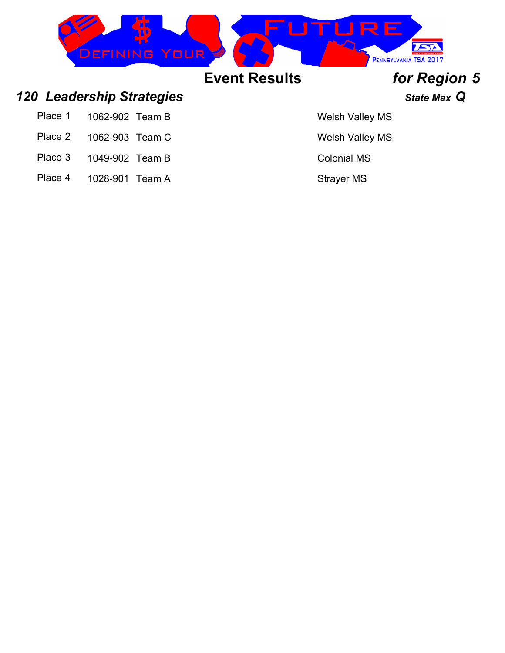| YOUR<br>EE<br>WING   | <b>AV EZ</b><br>PENNSYLVANIA TSA 2017 |
|----------------------|---------------------------------------|
| <b>Event Results</b> | for Region 5                          |

### *120 Leadership Strategies State Max Q*

- Place 1 1062-902 Team B Welsh Valley MS
- Place 2 1062-903 Team C Welsh Valley MS
- Place 3 1049-902 Team B Colonial MS
- Place 4 1028-901 Team A Strayer MS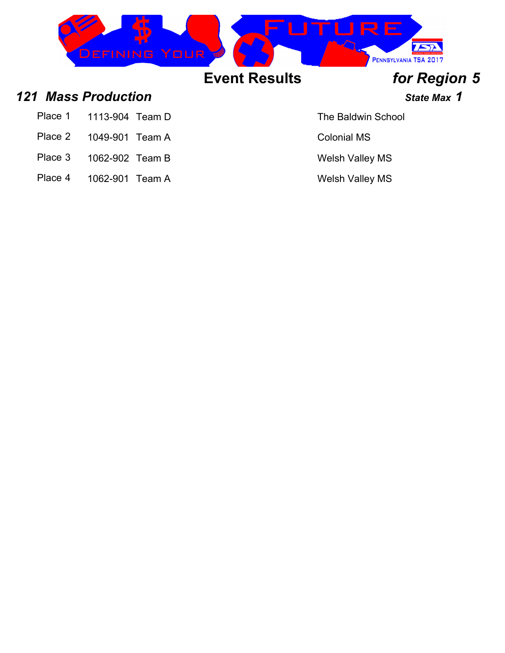

### *121 Mass Production State Max 1*

- Place 1 1113-904 Team D The Baldwin School
- Place 2 1049-901 Team A Colonial MS
- Place 3 1062-902 Team B Welsh Valley MS
- Place 4 1062-901 Team A Welsh Valley MS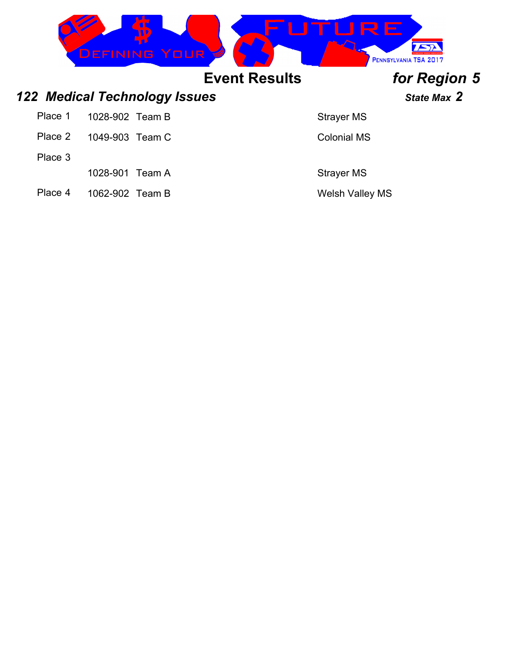|         | <b>DEFINING YOUR</b>                 |                      | RE                     | PENNSYLVANIA TSA 2017 |
|---------|--------------------------------------|----------------------|------------------------|-----------------------|
|         |                                      | <b>Event Results</b> |                        | for Region 5          |
|         | <b>122 Medical Technology Issues</b> |                      |                        | State Max 2           |
| Place 1 | 1028-902 Team B                      |                      | <b>Strayer MS</b>      |                       |
| Place 2 | 1049-903 Team C                      |                      | <b>Colonial MS</b>     |                       |
| Place 3 |                                      |                      |                        |                       |
|         | 1028-901<br>Team A                   |                      | <b>Strayer MS</b>      |                       |
| Place 4 | 1062-902 Team B                      |                      | <b>Welsh Valley MS</b> |                       |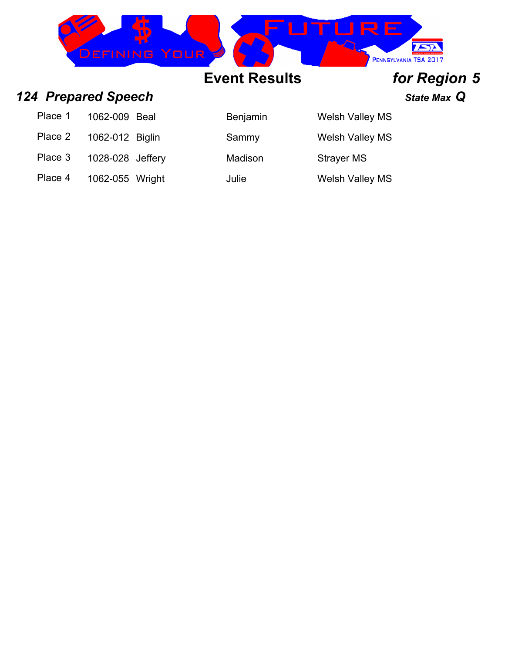

### *124 Prepared Speech State Max Q*

| Place 1 | 1062-009 Beal    |  |
|---------|------------------|--|
| Place 2 | 1062-012 Biglin  |  |
| Place 3 | 1028-028 Jeffery |  |

Place 4 1062-055 Wright Julie Julie Welsh Valley MS

| <b>Benjamin</b> | <b>Welsh Valley MS</b> |
|-----------------|------------------------|
| Sammy           | <b>Welsh Valley MS</b> |
| Madison         | <b>Strayer MS</b>      |
|                 |                        |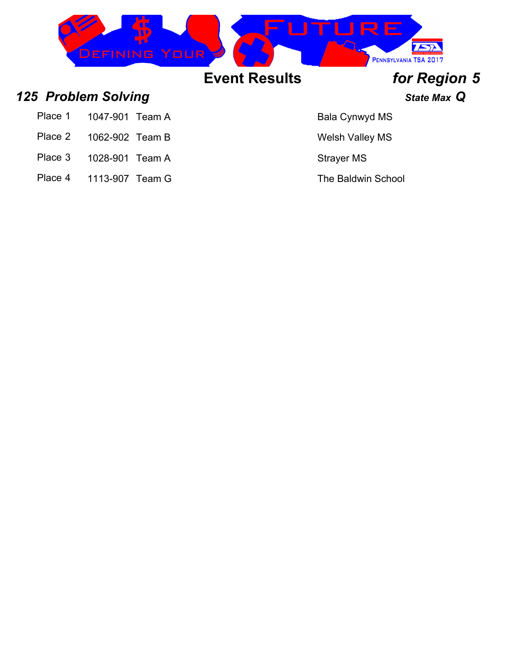

### *125 Problem Solving State Max Q*

- Place 1 1047-901 Team A Bala Cynwyd MS
- Place 2 1062-902 Team B Welsh Valley MS
- Place 3 1028-901 Team A Strayer MS
- Place 4 1113-907 Team G The Baldwin School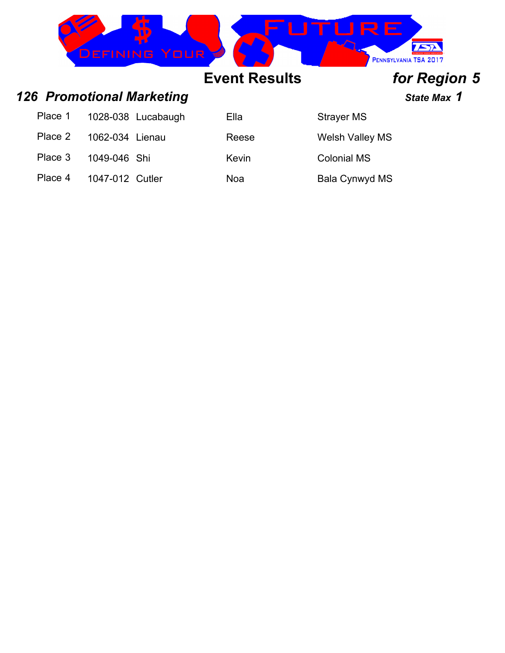|         | <b>DEFINING YOUR</b>             |                      | RE                     | PENNSYLVANIA TSA 2017 |
|---------|----------------------------------|----------------------|------------------------|-----------------------|
|         |                                  | <b>Event Results</b> |                        | for Region 5          |
|         | <b>126 Promotional Marketing</b> |                      |                        | State Max 1           |
| Place 1 | 1028-038<br>Lucabaugh            | Ella                 | <b>Strayer MS</b>      |                       |
| Place 2 | 1062-034<br>Lienau               | Reese                | <b>Welsh Valley MS</b> |                       |
| Place 3 | 1049-046 Shi                     | Kevin                | <b>Colonial MS</b>     |                       |

Place 4 1047-012 Cutler Noa Noard Bala Cynwyd MS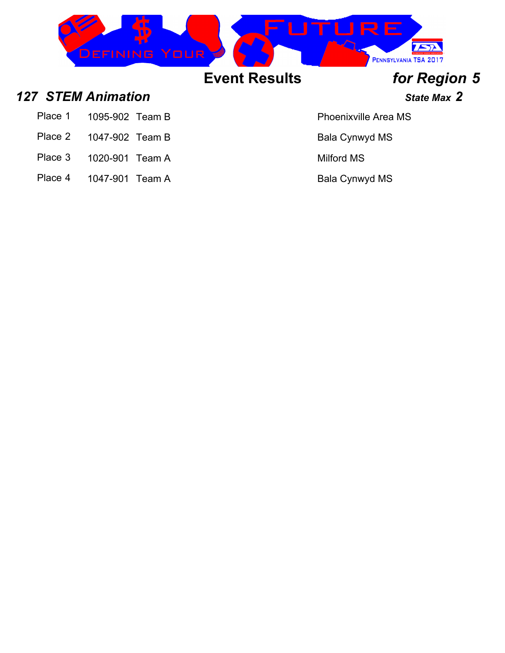

### *127 STEM Animation State Max 2*

- Place 1 1095-902 Team B Place 1 Phoenixville Area MS
- Place 2 1047-902 Team B Bala Cynwyd MS
- Place 3 1020-901 Team A Milford MS
- Place 4 1047-901 Team A Bala Cynwyd MS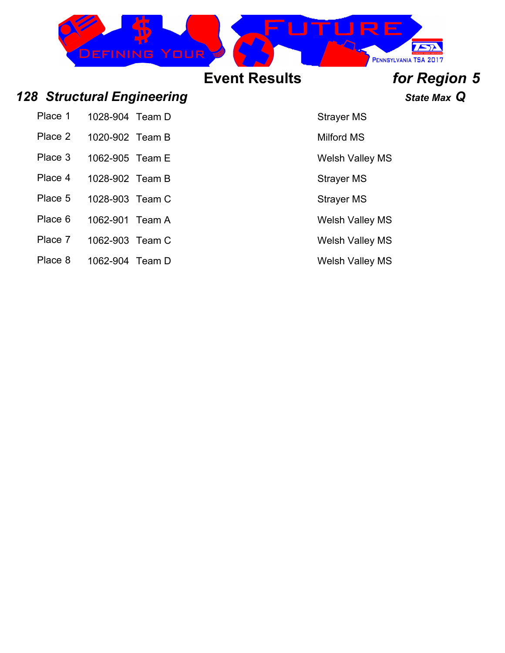|         | <b>DEFINING YOUR</b>              |                      | THR F             | PENNSYLVANIA TSA 2017 |
|---------|-----------------------------------|----------------------|-------------------|-----------------------|
|         |                                   | <b>Event Results</b> |                   | for Region 5          |
|         | <b>128 Structural Engineering</b> |                      |                   | State Max Q           |
| Place 1 | 1028-904 Team D                   |                      | <b>Strayer MS</b> |                       |
| Place 2 | 1020-902 Team B                   |                      | <b>Milford MS</b> |                       |

- Place 3 1062-905 Team E Welsh Valley MS
- Place 4 1028-902 Team B Strayer MS
- Place 5 1028-903 Team C Strayer MS
- Place 6 1062-901 Team A Welsh Valley MS
- Place 7 1062-903 Team C Welsh Valley MS
- Place 8 1062-904 Team D Welsh Valley MS
- 
- 
- 
- 
- 
-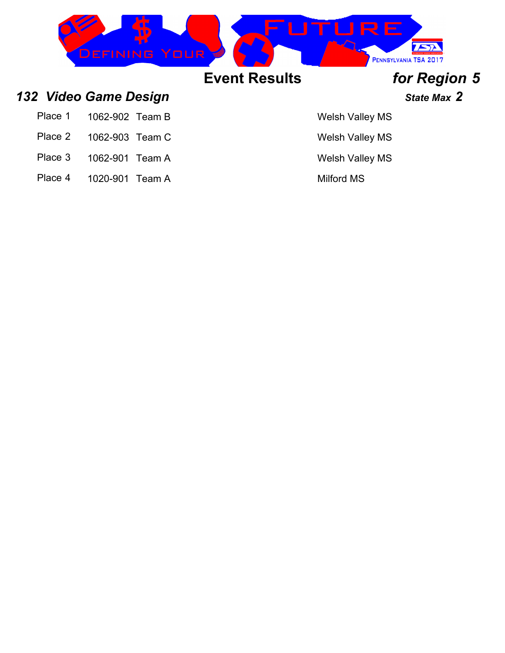

### *132 Video Game Design State Max 2*

| Place 1<br>1062-902 Team B |  |
|----------------------------|--|
|----------------------------|--|

- Place 2 1062-903 Team C Welsh Valley MS
- Place 3 1062-901 Team A Welsh Valley MS
- Place 4 1020-901 Team A Milford MS

### Welsh Valley MS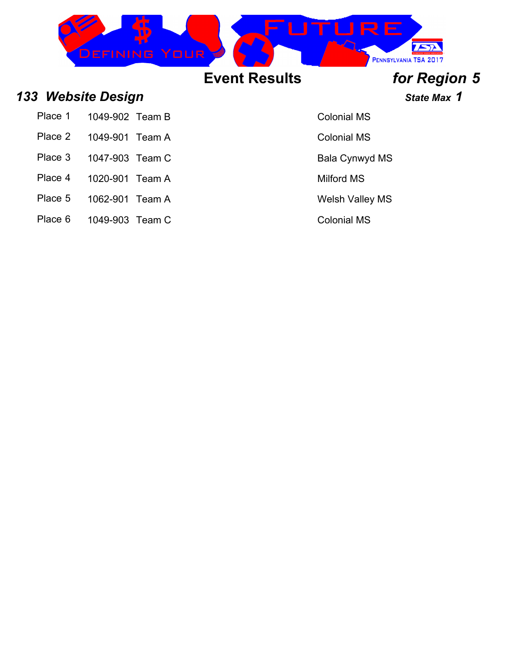

### *133 Website Design State Max 1*

| Place 1 | 1049-902 Team B |  |
|---------|-----------------|--|
|         |                 |  |

- Place 2 1049-901 Team A Colonial MS
- Place 3 1047-903 Team C Black Cynwyd MS
- 
- Place 4 1020-901 Team A Milford MS
- Place 5 1062-901 Team A Welsh Valley MS
- Place 6 1049-903 Team C Colonial MS

Colonial MS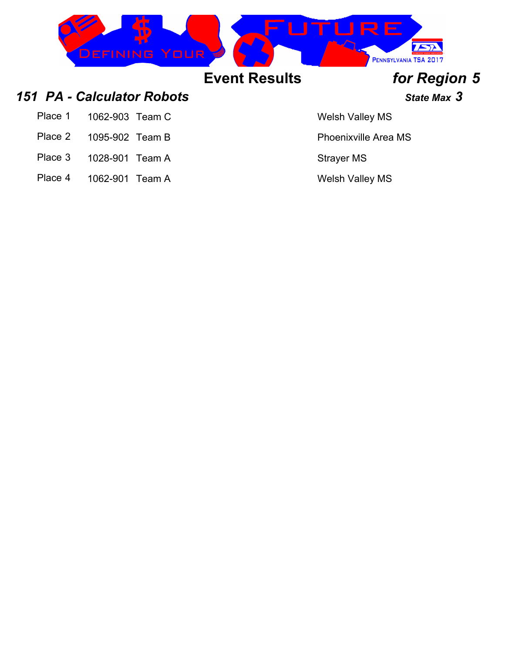| DEFINING YOUR |                      | ▁▎┝┩╘▁<br>PENNSYLVANIA TSA 2017 |
|---------------|----------------------|---------------------------------|
|               | <b>Event Results</b> | for Region 5                    |

### *151 PA - Calculator Robots State Max 3*

- Place 1 1062-903 Team C Welsh Valley MS
- Place 2 1095-902 Team B Place 2 1095-902 Team B
- Place 3 1028-901 Team A Strayer MS
- Place 4 1062-901 Team A Welsh Valley MS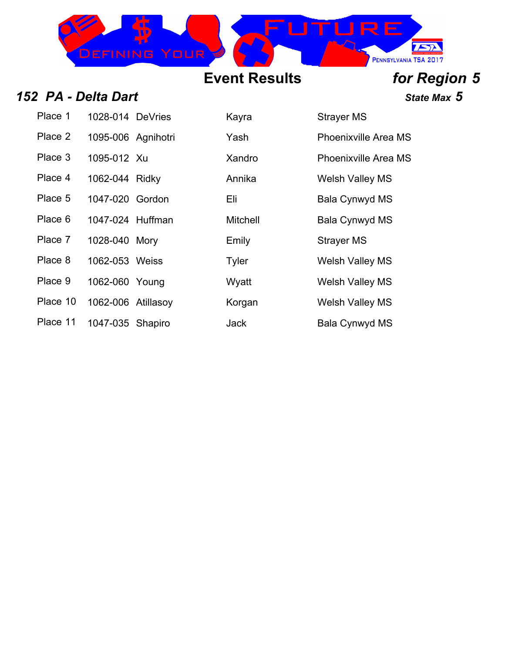

*<i>State Max* **5** 

| 152 PA - Delta Dart |
|---------------------|
|---------------------|

| Place 1  | 1028-014 DeVries   | Kayra           | <b>Strayer MS</b>  |
|----------|--------------------|-----------------|--------------------|
| Place 2  | 1095-006 Agnihotri | Yash            | Phoenixville       |
| Place 3  | 1095-012 Xu        | Xandro          | Phoenixville       |
| Place 4  | 1062-044 Ridky     | Annika          | <b>Welsh Valle</b> |
| Place 5  | 1047-020 Gordon    | Eli             | Bala Cynwy         |
| Place 6  | 1047-024 Huffman   | <b>Mitchell</b> | Bala Cynwy         |
| Place 7  | 1028-040 Mory      | Emily           | <b>Strayer MS</b>  |
| Place 8  | 1062-053 Weiss     | Tyler           | <b>Welsh Valle</b> |
| Place 9  | 1062-060 Young     | Wyatt           | <b>Welsh Valle</b> |
| Place 10 | 1062-006 Atillasoy | Korgan          | <b>Welsh Valle</b> |
| Place 11 | 1047-035 Shapiro   | Jack            | Bala Cynwy         |

| Place 1  | 1028-014 DeVries   | Kayra           | <b>Strayer MS</b>           |
|----------|--------------------|-----------------|-----------------------------|
| Place 2  | 1095-006 Agnihotri | Yash            | <b>Phoenixville Area MS</b> |
| Place 3  | 1095-012 Xu        | Xandro          | <b>Phoenixville Area MS</b> |
| Place 4  | 1062-044 Ridky     | Annika          | <b>Welsh Valley MS</b>      |
| Place 5  | 1047-020 Gordon    | Eli             | Bala Cynwyd MS              |
| Place 6  | 1047-024 Huffman   | <b>Mitchell</b> | <b>Bala Cynwyd MS</b>       |
| Place 7  | 1028-040 Mory      | Emily           | <b>Strayer MS</b>           |
| Place 8  | 1062-053 Weiss     | Tyler           | <b>Welsh Valley MS</b>      |
| Place 9  | 1062-060 Young     | Wyatt           | <b>Welsh Valley MS</b>      |
| Place 10 | 1062-006 Atillasoy | Korgan          | <b>Welsh Valley MS</b>      |
| Place 11 | 1047-035 Shapiro   | <b>Jack</b>     | Bala Cynwyd MS              |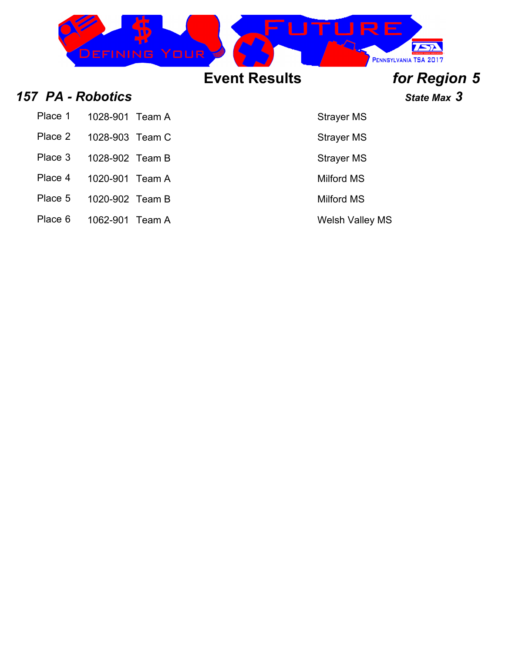|                   |                 | <b>JEFINING YOUR</b> |                      | <b>RE</b>         | PENNSYLVANIA TSA 2017 |
|-------------------|-----------------|----------------------|----------------------|-------------------|-----------------------|
|                   |                 |                      | <b>Event Results</b> |                   | for Region 5          |
| 157 PA - Robotics |                 |                      |                      |                   | State Max 3           |
| Place 1           | 1028-901        | Team A               |                      | <b>Strayer MS</b> |                       |
| Place 2           | 1028-903 Team C |                      |                      | <b>Strayer MS</b> |                       |
| Place 3           | 1028-902 Team B |                      |                      | <b>Strayer MS</b> |                       |
| Place 4           | 1020-901        | Team A               |                      | <b>Milford MS</b> |                       |

- Place 5 1020-902 Team B Milford MS
- Place 6 1062-901 Team A Welsh Valley MS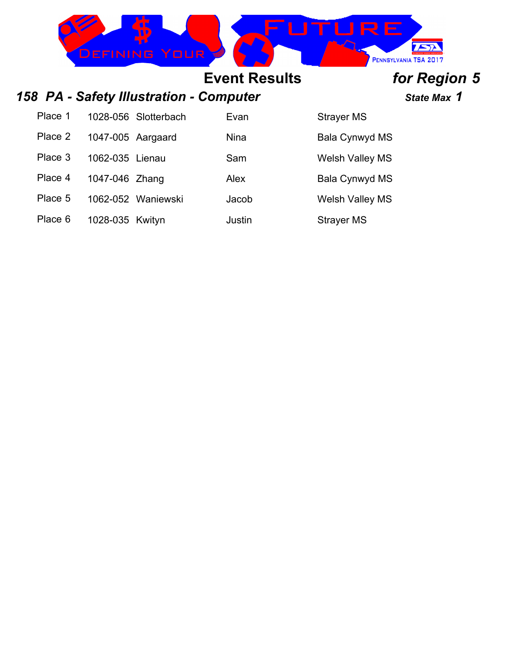

## *158 PA - Safety Illustration - Computer State Max 1*

| Place 1 | 1028-056 Slotterbach | Evan   | Strayer MS             |
|---------|----------------------|--------|------------------------|
| Place 2 | 1047-005 Aargaard    | Nina   | Bala Cynwyd MS         |
| Place 3 | 1062-035 Lienau      | Sam    | <b>Welsh Valley MS</b> |
| Place 4 | 1047-046 Zhang       | Alex   | <b>Bala Cynwyd MS</b>  |
| Place 5 | 1062-052 Waniewski   | Jacob  | <b>Welsh Valley MS</b> |
| Place 6 | 1028-035 Kwityn      | Justin | <b>Strayer MS</b>      |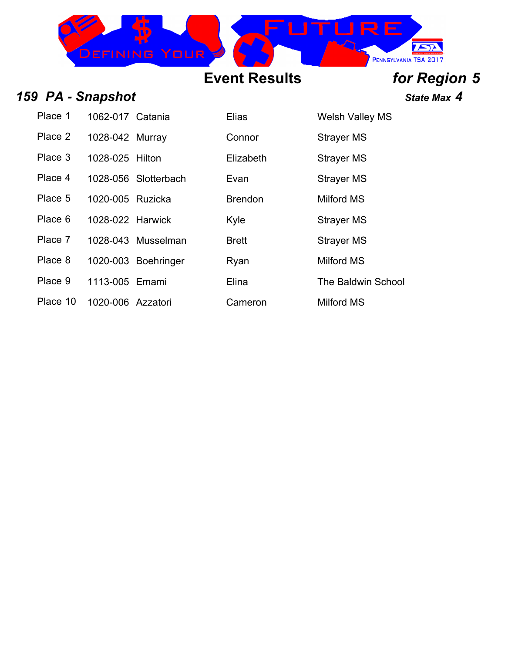

### *159 PA - Snapshot State Max 4*

| Place 1  | 1062-017 Catania  |                      | <b>Elias</b>   | <b>Welsh Valle</b> |
|----------|-------------------|----------------------|----------------|--------------------|
| Place 2  | 1028-042 Murray   |                      | Connor         | <b>Strayer MS</b>  |
| Place 3  | 1028-025 Hilton   |                      | Elizabeth      | <b>Strayer MS</b>  |
| Place 4  |                   | 1028-056 Slotterbach | Evan           | <b>Strayer MS</b>  |
| Place 5  | 1020-005 Ruzicka  |                      | <b>Brendon</b> | Milford MS         |
| Place 6  | 1028-022 Harwick  |                      | Kyle           | <b>Strayer MS</b>  |
| Place 7  |                   | 1028-043 Musselman   | <b>Brett</b>   | <b>Strayer MS</b>  |
| Place 8  |                   | 1020-003 Boehringer  | Ryan           | Milford MS         |
| Place 9  | 1113-005 Emami    |                      | Elina          | The Baldwi         |
| Place 10 | 1020-006 Azzatori |                      | Cameron        | Milford MS         |

| Elias     | <b>Welsh Valley MS</b> |
|-----------|------------------------|
| Connor    | <b>Strayer MS</b>      |
| Flizabeth | <b>Strayer MS</b>      |
| Evan      | <b>Strayer MS</b>      |
| Brendon   | Milford MS             |
| Kyle      | <b>Strayer MS</b>      |
| Brett     | <b>Strayer MS</b>      |
| Ryan      | <b>Milford MS</b>      |
| Elina     | The Baldwin School     |
| (`ameron  | Milford MS             |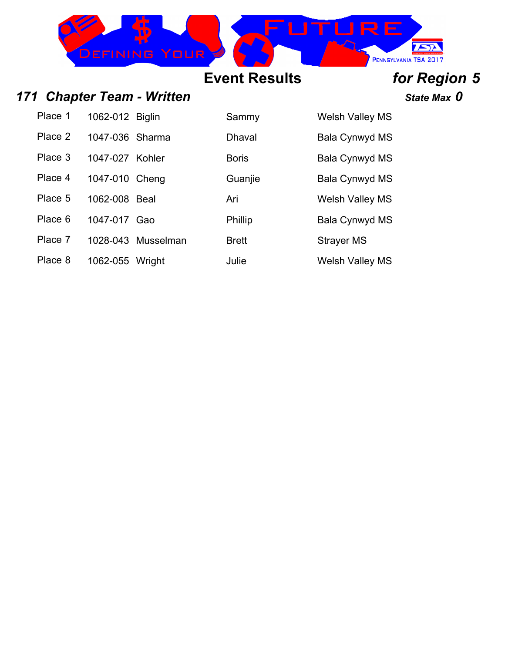

### *171 Chapter Team - Written State Max 0*

Place 1 1062-012 Biglin Sammy Welsh Valley MS

Place 2 1047-036 Sharma Dhaval Bala Cynwyd MS

Place 3 1047-027 Kohler Boris Boris Bala Cynwyd MS

Place 4 1047-010 Cheng Guanjie Bala Cynwyd MS

Place 5 1062-008 Beal Ari Ari Welsh Valley MS

Place 6 1047-017 Gao Phillip Bala Cynwyd MS

Place 7 1028-043 Musselman Brett Strayer MS

Place 8 1062-055 Wright Julie Julie Welsh Valley MS

# **Event Results** *for Region 5*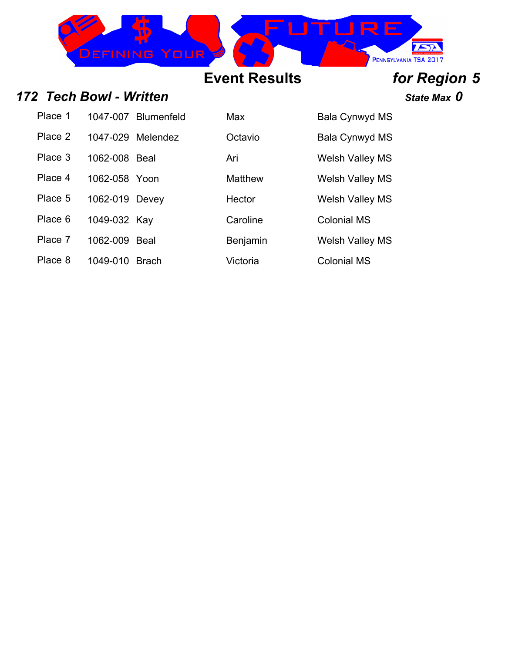

*172 Tech Bowl - Written State Max 0*

Place 1 1047-007 Blumenfeld Max Bala Cynwyd MS

- Place 3 1062-008 Beal Ari Ari Welsh Valley MS
- Place 4 1062-058 Yoon Matthew Welsh Valley MS
- Place 5 1062-019 Devey Hector Welsh Valley MS
- Place 6 1049-032 Kay Caroline Caroline Colonial MS

Place 7 1062-009 Beal Benjamin Welsh Valley MS

Place 8 1049-010 Brach Victoria Colonial MS

Place 2 1047-029 Melendez Cotavio Bala Cynwyd MS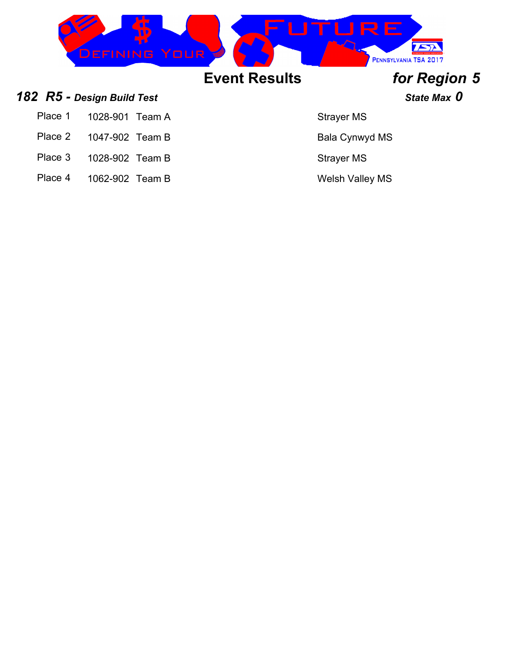

- Place 1 1028-901 Team A Strayer MS
- Place 2 1047-902 Team B Bala Cynwyd MS
- Place 3 1028-902 Team B Strayer MS
- Place 4 1062-902 Team B Welsh Valley MS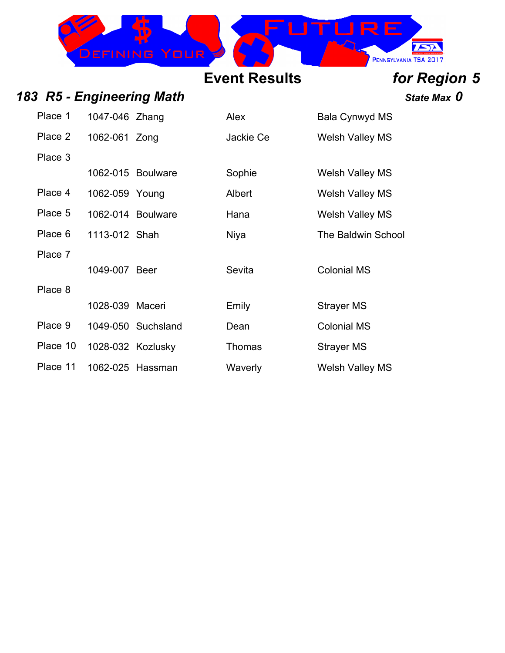

*183 R5 - Engineering Math State Max 0*

| Place 1  | 1047-046 Zhang  |                    | Alex      | Bala Cynwyd MS            |
|----------|-----------------|--------------------|-----------|---------------------------|
| Place 2  | 1062-061 Zong   |                    | Jackie Ce | <b>Welsh Valley MS</b>    |
| Place 3  |                 |                    |           |                           |
|          |                 | 1062-015 Boulware  | Sophie    | Welsh Valley MS           |
| Place 4  | 1062-059 Young  |                    | Albert    | <b>Welsh Valley MS</b>    |
| Place 5  |                 | 1062-014 Boulware  | Hana      | <b>Welsh Valley MS</b>    |
| Place 6  | 1113-012 Shah   |                    | Niya      | <b>The Baldwin School</b> |
| Place 7  |                 |                    |           |                           |
|          | 1049-007 Beer   |                    | Sevita    | <b>Colonial MS</b>        |
| Place 8  |                 |                    |           |                           |
|          | 1028-039 Maceri |                    | Emily     | <b>Strayer MS</b>         |
| Place 9  |                 | 1049-050 Suchsland | Dean      | <b>Colonial MS</b>        |
| Place 10 |                 | 1028-032 Kozlusky  | Thomas    | <b>Strayer MS</b>         |
| Place 11 |                 | 1062-025 Hassman   | Waverly   | Welsh Valley MS           |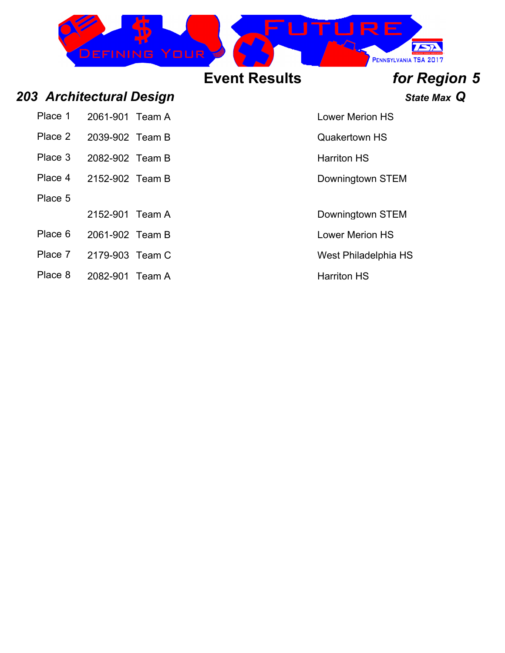

### *203 Architectural Design State Max Q*

| Place 1 | 2061-901 Team A |  |
|---------|-----------------|--|
| Place 2 | 2039-902 Team B |  |
| Place 3 | 2082-902 Team B |  |
| Place 4 | 2152-902 Team B |  |
| Place 5 |                 |  |
|         | 2152-901 Team A |  |

- Place 6 2061-902 Team B Lower Merion HS
- Place 7 2179-903 Team C West Philadelphia HS
- Place 8 2082-901 Team A Harriton HS

### **Lower Merion HS**

**Quakertown HS** 

Harriton HS

Downingtown STEM

Downingtown STEM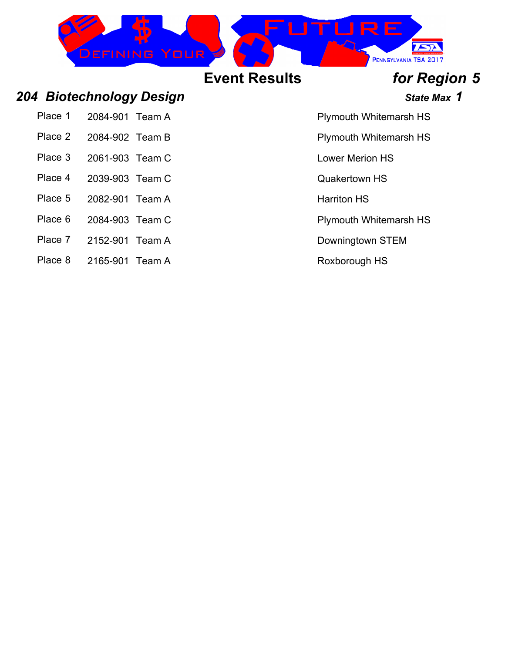

Place 2 2084-902 Team B Plymouth Whitemarsh HS

Place 3 2061-903 Team C Lower Merion HS

Place 4 2039-903 Team C COMPONEY CONSUMING

Place 5 2082-901 Team A Harriton HS

Place 6 2084-903 Team C Plymouth Whitemarsh HS

Place 7 2152-901 Team A Downingtown STEM

Place 8 2165-901 Team A Roxborough HS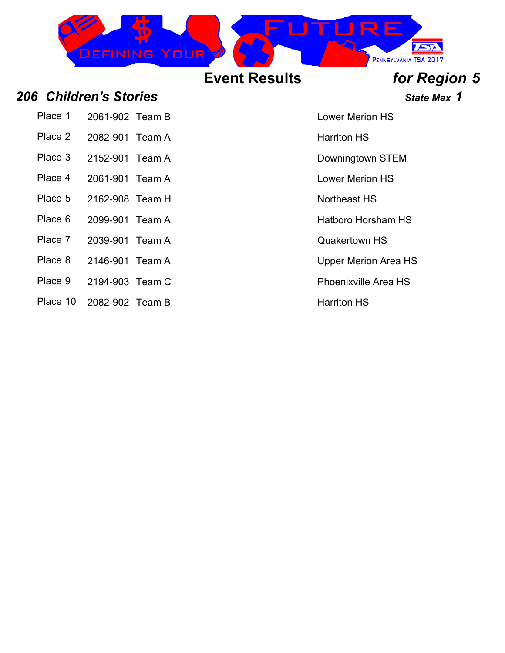

### *206 Children's Stories State Max 1*

- Place 2 2082-901 Team A Harriton HS
- Place 3 2152-901 Team A Downingtown STEM
- Place 4 2061-901 Team A Lower Merion HS
- 
- Place 5 2162-908 Team H Northeast HS
- Place 6 2099-901 Team A Hatboro Horsham HS
- Place 7 2039-901 Team A Quakertown HS
- Place 8 2146-901 Team A Upper Merion Area HS
- Place 9 2194-903 Team C Place 9 2194-903 Team C
- Place 10 2082-902 Team B Harriton HS

Place 1 2061-2061-002 Team B Lower Merion HS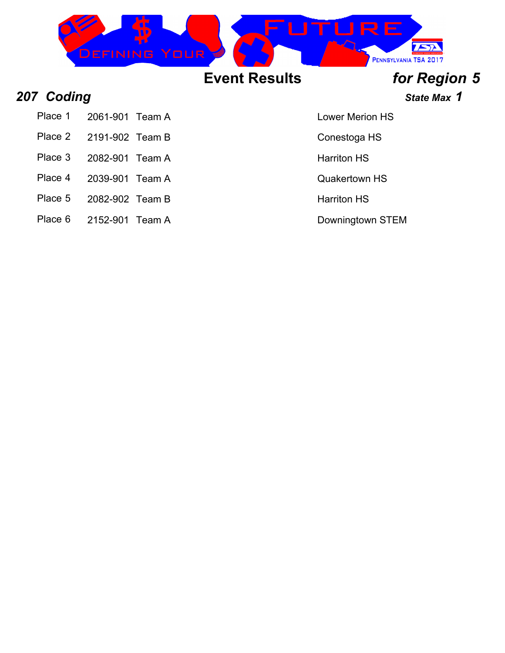

**207 Coding State Max 1** 

Place 1 2061-901 Team A Lower Merion HS

- Place 2 2191-902 Team B Conestoga HS
- Place 3 2082-901 Team A Harriton HS
- 
- Place 4 2039-901 Team A Cuakertown HS
- Place 5 2082-902 Team B Harriton HS
- Place 6 2152-901 Team A Downingtown STEM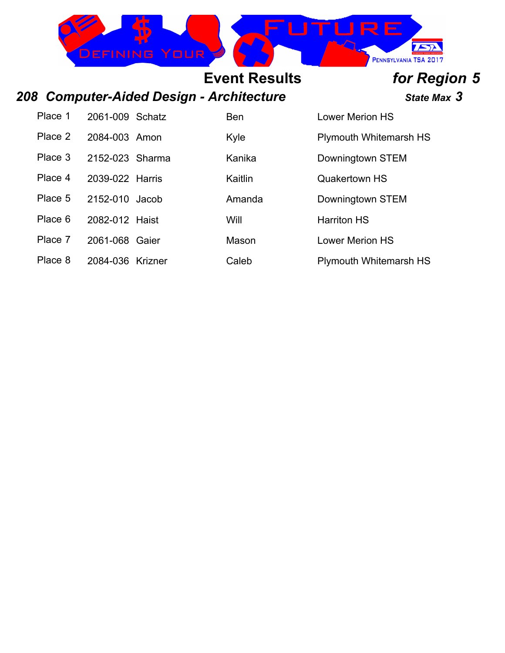

### *208 Computer-Aided Design - Architecture State Max 3*

| Place 1 | 2061-009 Schatz  | <b>Ben</b> | <b>Lower Merion HS</b>        |
|---------|------------------|------------|-------------------------------|
| Place 2 | 2084-003 Amon    | Kyle       | <b>Plymouth Whitemarsh HS</b> |
| Place 3 | 2152-023 Sharma  | Kanika     | Downingtown STEM              |
| Place 4 | 2039-022 Harris  | Kaitlin    | <b>Quakertown HS</b>          |
| Place 5 | 2152-010 Jacob   | Amanda     | Downingtown STEM              |
| Place 6 | 2082-012 Haist   | Will       | <b>Harriton HS</b>            |
| Place 7 | 2061-068 Gaier   | Mason      | <b>Lower Merion HS</b>        |
| Place 8 | 2084-036 Krizner | Caleb      | <b>Plymouth Whitemarsh HS</b> |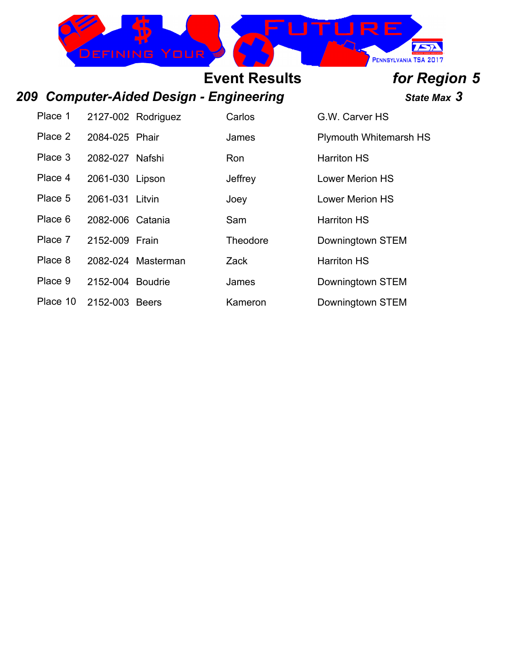

### *209 Computer-Aided Design - Engineering State Max 3*

Place 2 2084-025 Phair James Plymouth Whitemarsh HS Place 3 2082-027 Nafshi Ron Ron Harriton HS

Place 6 2082-006 Catania Sam Sam Harriton HS

Place 7 2152-009 Frain Theodore Downingtown STEM

- Place 8 2082-024 Masterman Zack Harriton HS
- Place 9 2152-004 Boudrie James Downingtown STEM

Place 10 2152-003 Beers Kameron Downingtown STEM

Place 1 2127-002 Rodriguez Carlos G.W. Carver HS Place 4 2061-030 Lipson Jeffrey Lower Merion HS Place 5 2061-031 Litvin Joey Joey Lower Merion HS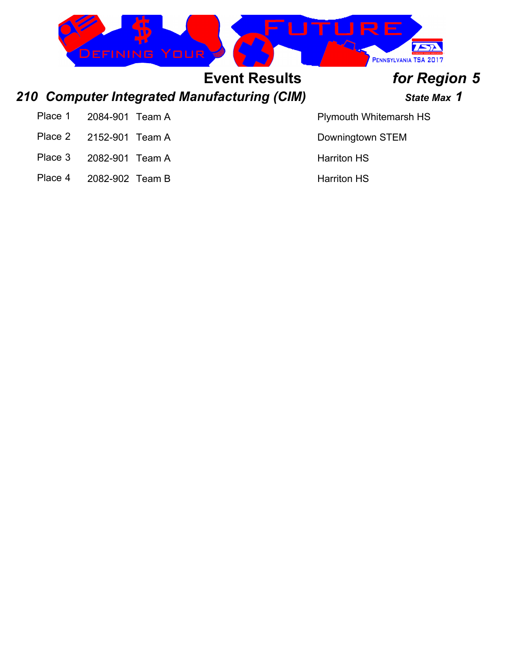

# *210 Computer Integrated Manufacturing (CIM) State Max 1*

Place 1 2084-901 Team A Plymouth Whitemarsh HS

Place 2 2152-901 Team A Downingtown STEM

Place 3 2082-901 Team A Harriton HS

Place 4 2082-902 Team B Harriton HS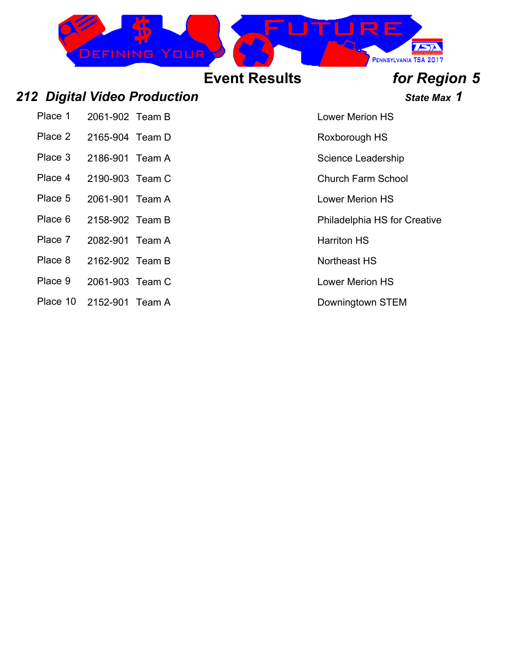

### *212 Digital Video Production State Max 1*

Place 1 2061-902 Team B Lower Merion HS

- Place 2 2165-904 Team D Roxborough HS
- Place 3 2186-901 Team A Science Leadership
- Place 4 2190-903 Team C Church Farm School
- Place 5 2061-901 Team A Lower Merion HS
- 
- Place 7 2082-901 Team A Harriton HS
- Place 8 2162-902 Team B Northeast HS
- Place 9 2061-903 Team C Lower Merion HS
- Place 10 2152-901 Team A Downingtown STEM

Place 6 2158-902 Team B Place 6 2158-902 Team B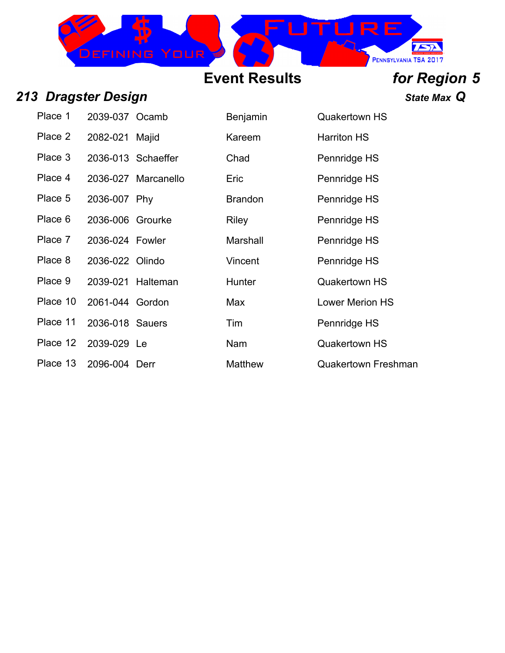

### *213 Dragster Design State Max Q*

| Place 1  | 2039-037 Ocamb   |                     | Benjamin       | Quakertowr         |
|----------|------------------|---------------------|----------------|--------------------|
| Place 2  | 2082-021 Majid   |                     | Kareem         | <b>Harriton HS</b> |
| Place 3  |                  | 2036-013 Schaeffer  | Chad           | Pennridge H        |
| Place 4  |                  | 2036-027 Marcanello | Eric           | Pennridge H        |
| Place 5  | 2036-007 Phy     |                     | <b>Brandon</b> | Pennridge H        |
| Place 6  | 2036-006 Grourke |                     | <b>Riley</b>   | Pennridge H        |
| Place 7  | 2036-024 Fowler  |                     | Marshall       | Pennridge H        |
| Place 8  | 2036-022 Olindo  |                     | Vincent        | Pennridge H        |
| Place 9  |                  | 2039-021 Halteman   | <b>Hunter</b>  | Quakertowr         |
| Place 10 | 2061-044 Gordon  |                     | Max            | <b>Lower Merio</b> |
| Place 11 | 2036-018 Sauers  |                     | Tim            | Pennridge H        |
| Place 12 | 2039-029 Le      |                     | Nam            | Quakertowr         |
|          |                  |                     |                |                    |

| Place 1  | 2039-037 Ocamb    |                     | <b>Benjamin</b> | <b>Quakertown HS</b>   |
|----------|-------------------|---------------------|-----------------|------------------------|
| Place 2  | 2082-021          | Majid               | Kareem          | <b>Harriton HS</b>     |
| Place 3  |                   | 2036-013 Schaeffer  | Chad            | Pennridge HS           |
| Place 4  |                   | 2036-027 Marcanello | Eric            | Pennridge HS           |
| Place 5  | 2036-007 Phy      |                     | <b>Brandon</b>  | Pennridge HS           |
| Place 6  | 2036-006 Grourke  |                     | Riley           | Pennridge HS           |
| Place 7  | 2036-024 Fowler   |                     | Marshall        | Pennridge HS           |
| Place 8  | 2036-022 Olindo   |                     | Vincent         | Pennridge HS           |
| Place 9  | 2039-021 Halteman |                     | Hunter          | <b>Quakertown HS</b>   |
| Place 10 | 2061-044 Gordon   |                     | Max             | <b>Lower Merion HS</b> |
| Place 11 | 2036-018 Sauers   |                     | Tim             | Pennridge HS           |
| Place 12 | 2039-029 Le       |                     | Nam             | <b>Quakertown HS</b>   |
|          |                   |                     |                 |                        |

### Place 13 2096-004 Derr Matthew Quakertown Freshman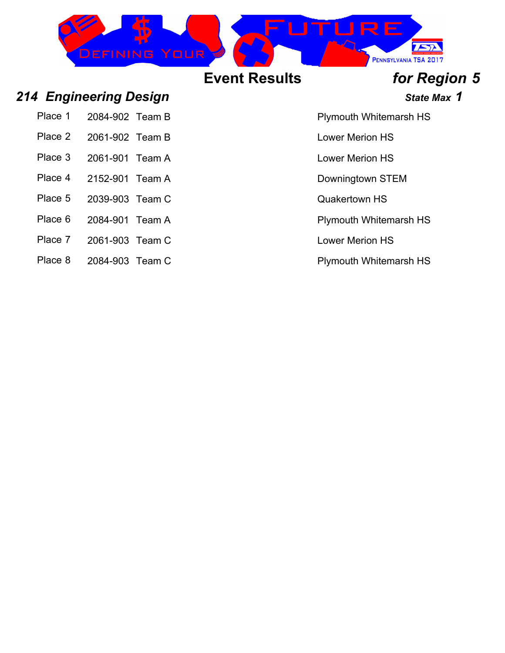

### *214 Engineering Design State Max 1*

| Place 1 | 2084-902 Team B |  |
|---------|-----------------|--|
|         |                 |  |

- 
- Place 3 2061-901 Team A Lower Merion HS
- Place 4 2152-901 Team A Downingtown STEM
- Place 5 2039-903 Team C CONSERVITY CONSERVATION CONSERVATION CONSERVATION CONSERVATION CONSERVATION CONSERVATION
- Place 6 2084-901 Team A Place 6 2084-901 Team A
- Place 7 2061-903 Team C Lower Merion HS
- Place 8 2084-903 Team C Plymouth Whitemarsh HS

Plymouth Whitemarsh HS

Place 2 2061-902 Team B Lower Merion HS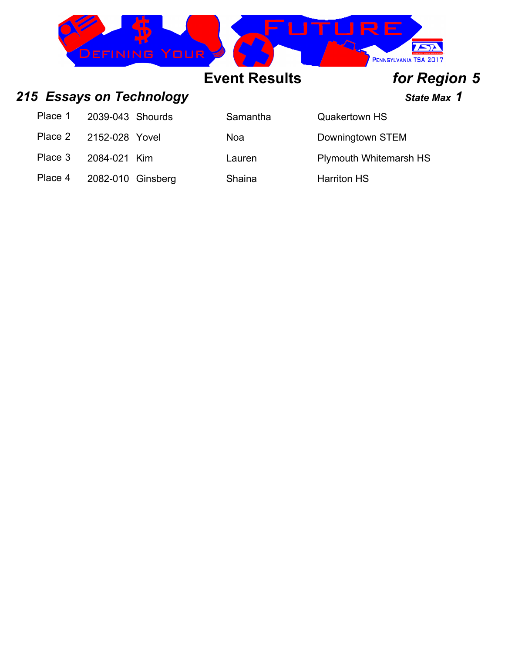

### 215 **Essays on Technology State Max 1** State Max 1

| Place 1                | 2039-043 Shourds  | Samantha | <b>Quakertown HS</b>          |
|------------------------|-------------------|----------|-------------------------------|
| Place 2 2152-028 Yovel |                   | Noa      | Downingtown STEM              |
| Place 3                | 2084-021 Kim      | Lauren   | <b>Plymouth Whitemarsh HS</b> |
| Place 4                | 2082-010 Ginsberg | Shaina   | <b>Harriton HS</b>            |

| Samantha |  |
|----------|--|
| Noa      |  |
| Lauren   |  |

| <b>Quakertown HS</b>       |
|----------------------------|
| Downingtown STEM           |
| <b>Plymouth Whitemarsh</b> |
|                            |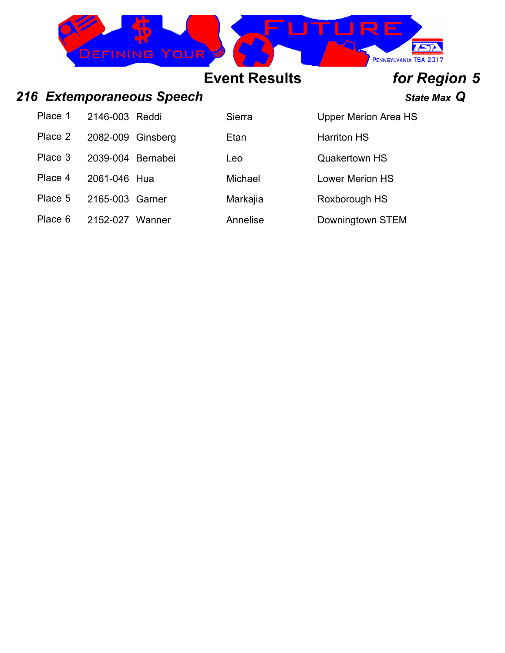

### *216 Extemporaneous Speech State Max Q*

Place 1 2146-003 Reddi Sierra Upper Merion Area HS Place 2 2082-009 Ginsberg Etan Harriton HS Place 3 2039-004 Bernabei Leo Leo Quakertown HS Place 4 2061-046 Hua Michael Lower Merion HS

Place 5 2165-003 Garner Markajia Roxborough HS

Place 6 2152-027 Wanner Annelise Downingtown STEM

# **Event Results** *for Region 5*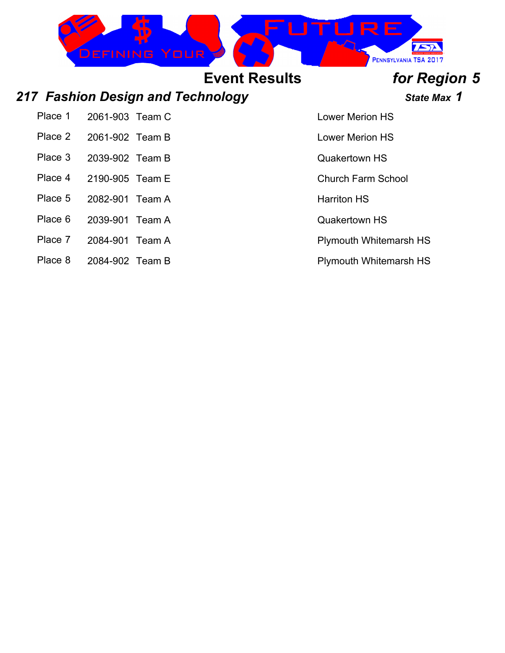

### 217 Fashion Design and Technology *State Max* 1

Place 1 2061-903 Team C Lower Merion HS

Place 2 2061-902 Team B Lower Merion HS

- Place 3 2039-902 Team B Quakertown HS
- 
- 
- Place 5 2082-901 Team A Harriton HS
- Place 6 2039-901 Team A Contract Contract Contract Contract Contract Contract Contract Contract Contract Contract Contract Contract Contract Contract Contract Contract Contract Contract Contract Contract Contract Contract
- Place 7 2084-901 Team A Plymouth Whitemarsh HS
- Place 8 2084-902 Team B Place 8 2084-902 Team B

Place 4 2190-905 Team E Church Farm School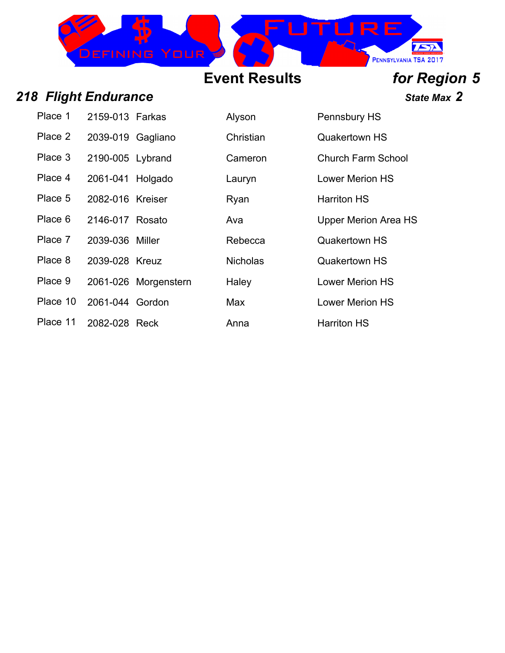

### *218 Flight Endurance State Max 2*

| Place 1  | 2159-013 Farkas   |                      | Alyson          | Pennsbury          |
|----------|-------------------|----------------------|-----------------|--------------------|
| Place 2  | 2039-019 Gagliano |                      | Christian       | Quakertowr         |
| Place 3  | 2190-005 Lybrand  |                      | Cameron         | <b>Church Farr</b> |
| Place 4  | 2061-041 Holgado  |                      | Lauryn          | <b>Lower Merio</b> |
| Place 5  | 2082-016 Kreiser  |                      | Ryan            | <b>Harriton HS</b> |
| Place 6  | 2146-017 Rosato   |                      | Ava             | <b>Upper Merio</b> |
| Place 7  | 2039-036 Miller   |                      | Rebecca         | Quakertowr         |
| Place 8  | 2039-028 Kreuz    |                      | <b>Nicholas</b> | Quakertowr         |
| Place 9  |                   | 2061-026 Morgenstern | Haley           | <b>Lower Merio</b> |
| Place 10 | 2061-044 Gordon   |                      | Max             | <b>Lower Merio</b> |
| Place 11 | 2082-028 Reck     |                      | Anna            | <b>Harriton HS</b> |

|      | Alyson          | Pennsbury HS           |
|------|-----------------|------------------------|
|      | Christian       | <b>Quakertown HS</b>   |
|      | Cameron         | Church Farm School     |
|      | Lauryn          | Lower Merion HS        |
|      | Ryan            | <b>Harriton HS</b>     |
|      | Ava             | Upper Merion Area H    |
|      | Rebecca         | <b>Quakertown HS</b>   |
|      | <b>Nicholas</b> | <b>Quakertown HS</b>   |
| tern | Haley           | <b>Lower Merion HS</b> |
|      | Max             | <b>Lower Merion HS</b> |

Anna Harriton HS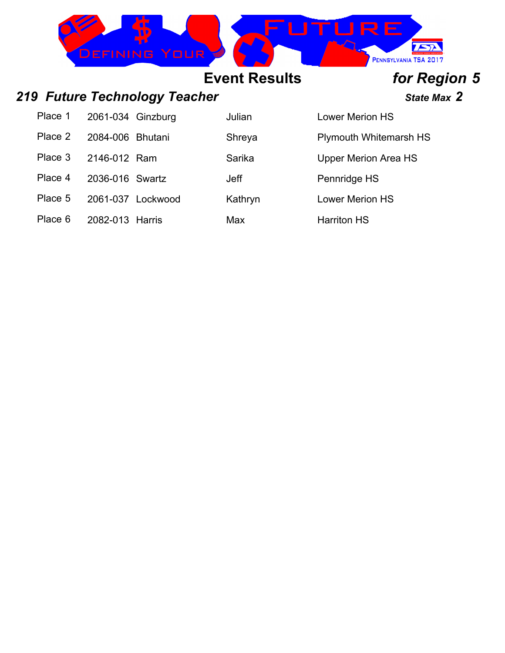

## *219 Future Technology Teacher State Max 2*

## **Event Results** *for Region 5*

| Place 1 | 2061-034 Ginzburg |                   | Julian      | <b>Lower Merion HS</b>        |
|---------|-------------------|-------------------|-------------|-------------------------------|
| Place 2 | 2084-006 Bhutani  |                   | Shreya      | <b>Plymouth Whitemarsh HS</b> |
| Place 3 | 2146-012 Ram      |                   | Sarika      | <b>Upper Merion Area HS</b>   |
| Place 4 | 2036-016 Swartz   |                   | <b>Jeff</b> | Pennridge HS                  |
| Place 5 |                   | 2061-037 Lockwood | Kathryn     | <b>Lower Merion HS</b>        |
| Place 6 | 2082-013 Harris   |                   | Max         | <b>Harriton HS</b>            |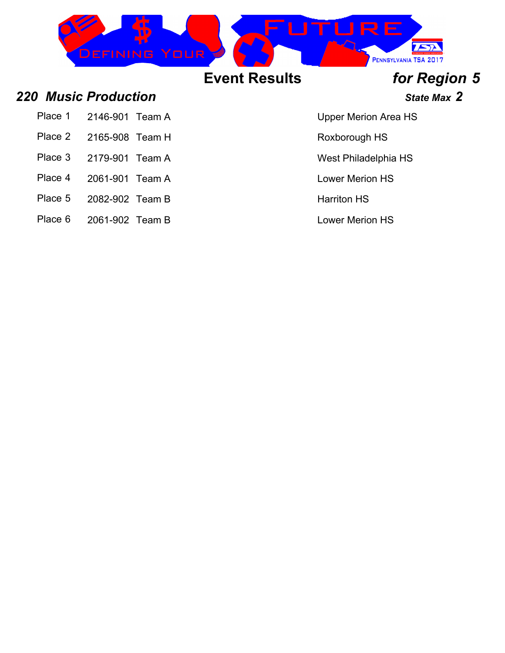

*220 Music Production State Max 2*

- Place 1 2146-901 Team A Upper Merion Area HS
- Place 2 2165-908 Team H Roxborough HS
- 
- 
- Place 4 2061-901 Team A Lower Merion HS
- Place 5 2082-902 Team B Harriton HS
- Place 6 2061-902 Team B Lower Merion HS
- 
- 
- Place 3 2179-901 Team A West Philadelphia HS
	-
	-
	-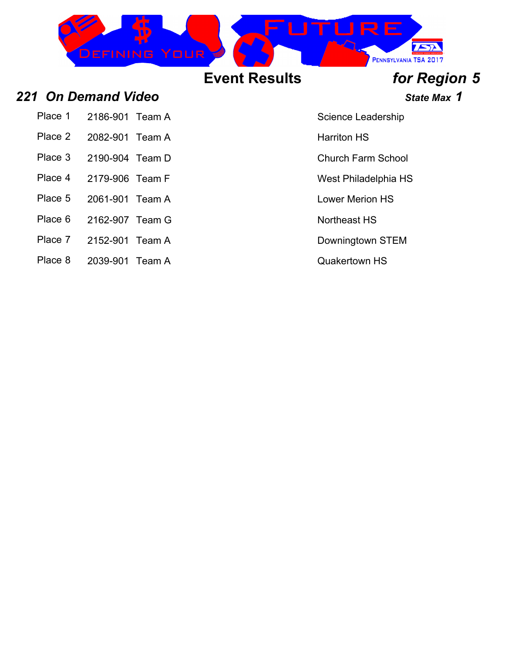

### 221 On Demand Video *Calculary State Max* 1

Place 1 2186-901 Team A Science Leadership

- Place 2 2082-901 Team A Harriton HS
- Place 3 2190-904 Team D Church Farm School
- 
- 
- 
- Place 6 2162-907 Team G Northeast HS
- Place 7 2152-901 Team A Downingtown STEM
- Place 8 2039-901 Team A Quakertown HS

Place 4 2179-906 Team F West Philadelphia HS

Place 5 2061-901 Team A Lower Merion HS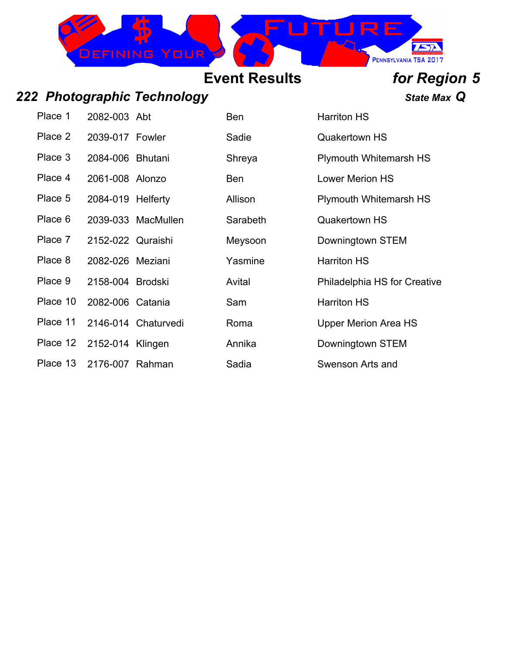

### *222 Photographic Technology State Max Q*

| Place 1  | 2082-003 Abt      |                     | Ben      | <b>Harriton HS</b>         |
|----------|-------------------|---------------------|----------|----------------------------|
| Place 2  | 2039-017 Fowler   |                     | Sadie    | <b>Quakertown HS</b>       |
| Place 3  | 2084-006 Bhutani  |                     | Shreya   | <b>Plymouth White</b>      |
| Place 4  | 2061-008 Alonzo   |                     | Ben      | <b>Lower Merion H</b>      |
| Place 5  | 2084-019 Helferty |                     | Allison  | <b>Plymouth White</b>      |
| Place 6  |                   | 2039-033 MacMullen  | Sarabeth | <b>Quakertown HS</b>       |
| Place 7  | 2152-022 Quraishi |                     | Meysoon  | Downingtown S <sup>7</sup> |
| Place 8  | 2082-026 Meziani  |                     | Yasmine  | <b>Harriton HS</b>         |
| Place 9  | 2158-004 Brodski  |                     | Avital   | Philadelphia HS            |
| Place 10 | 2082-006 Catania  |                     | Sam      | <b>Harriton HS</b>         |
| Place 11 |                   | 2146-014 Chaturvedi | Roma     | <b>Upper Merion A</b>      |
| Place 12 | 2152-014 Klingen  |                     | Annika   | Downingtown S <sup>7</sup> |
| Place 13 | $2176-007$ Rahman |                     | Sadia    | Swenson Arts a             |

| Place 1  | 2082-003 Abt      |                     | <b>Ben</b> | <b>Harriton HS</b>                  |
|----------|-------------------|---------------------|------------|-------------------------------------|
| Place 2  | 2039-017 Fowler   |                     | Sadie      | <b>Quakertown HS</b>                |
| Place 3  | 2084-006 Bhutani  |                     | Shreya     | <b>Plymouth Whitemarsh HS</b>       |
| Place 4  | 2061-008 Alonzo   |                     | Ben        | <b>Lower Merion HS</b>              |
| Place 5  | 2084-019 Helferty |                     | Allison    | <b>Plymouth Whitemarsh HS</b>       |
| Place 6  |                   | 2039-033 MacMullen  | Sarabeth   | <b>Quakertown HS</b>                |
| Place 7  | 2152-022 Quraishi |                     | Meysoon    | Downingtown STEM                    |
| Place 8  | 2082-026 Meziani  |                     | Yasmine    | <b>Harriton HS</b>                  |
| Place 9  | 2158-004 Brodski  |                     | Avital     | <b>Philadelphia HS for Creative</b> |
| Place 10 | 2082-006 Catania  |                     | Sam        | <b>Harriton HS</b>                  |
| Place 11 |                   | 2146-014 Chaturvedi | Roma       | <b>Upper Merion Area HS</b>         |
| Place 12 | 2152-014 Klingen  |                     | Annika     | Downingtown STEM                    |
| Place 13 | 2176-007          | Rahman              | Sadia      | Swenson Arts and                    |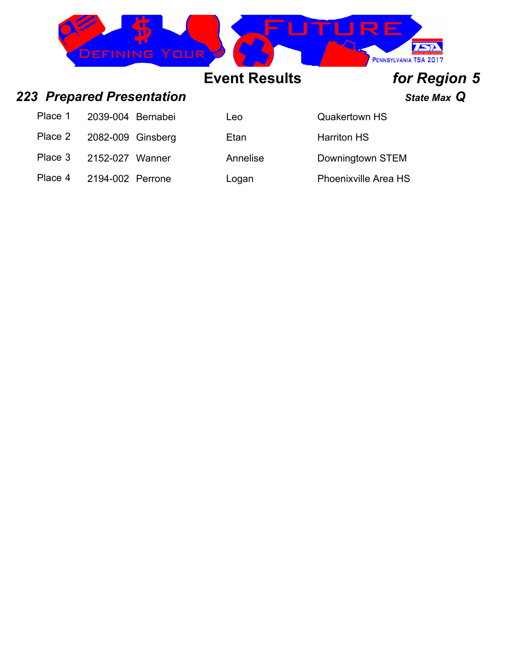| EFINING YOUR<br>$\sim$ |     | a kata<br><u>rans de la p</u><br><b><i>TECHNOLOGY STUDENT ASSOCIATION</i></b><br><sup>7</sup> PENNSYLVANIA TSA 2017 |
|------------------------|-----|---------------------------------------------------------------------------------------------------------------------|
|                        | . . |                                                                                                                     |

### *223 Prepared Presentation State Max Q*

| Place 1 | 2039-004 Bernabei | Leo      | <b>Quakertown HS</b>        |
|---------|-------------------|----------|-----------------------------|
| Place 2 | 2082-009 Ginsberg | Etan     | <b>Harriton HS</b>          |
| Place 3 | 2152-027 Wanner   | Annelise | Downingtown STEM            |
| Place 4 | 2194-002 Perrone  | Logan    | <b>Phoenixville Area HS</b> |

| Leo  |  |
|------|--|
| Etan |  |

|   | <b>Quakertown HS</b> |
|---|----------------------|
|   | <b>Harriton HS</b>   |
| e | Downingtown STEM     |
|   | Dhoonimillo Aroo UC  |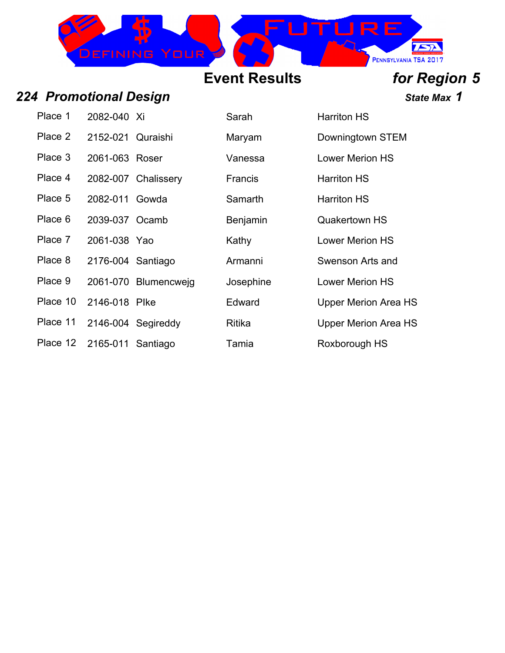

## *224 Promotional Design State Max 1*

| Place 1  | 2082-040 Xi       |                      | Sarah           | <b>Harriton HS</b>          |
|----------|-------------------|----------------------|-----------------|-----------------------------|
| Place 2  | 2152-021 Quraishi |                      | Maryam          | Downingtown STEM            |
| Place 3  | 2061-063 Roser    |                      | Vanessa         | <b>Lower Merion HS</b>      |
| Place 4  |                   | 2082-007 Chalissery  | Francis         | <b>Harriton HS</b>          |
| Place 5  | 2082-011 Gowda    |                      | Samarth         | <b>Harriton HS</b>          |
| Place 6  | 2039-037 Ocamb    |                      | <b>Benjamin</b> | <b>Quakertown HS</b>        |
| Place 7  | 2061-038 Yao      |                      | Kathy           | <b>Lower Merion HS</b>      |
| Place 8  | 2176-004 Santiago |                      | Armanni         | Swenson Arts and            |
| Place 9  |                   | 2061-070 Blumencweig | Josephine       | <b>Lower Merion HS</b>      |
| Place 10 | 2146-018 Plke     |                      | Edward          | <b>Upper Merion Area HS</b> |
| Place 11 |                   | 2146-004 Segireddy   | Ritika          | <b>Upper Merion Area HS</b> |
| Place 12 | 2165-011 Santiago |                      | Tamia           | Roxborough HS               |

|        | Sarah           | <b>Harriton HS</b>     |
|--------|-----------------|------------------------|
| shi    | Maryam          | Downingtown ST         |
|        | Vanessa         | <b>Lower Merion H</b>  |
| sery   | Francis         | <b>Harriton HS</b>     |
| a      | Samarth         | <b>Harriton HS</b>     |
| b      | <b>Benjamin</b> | <b>Quakertown HS</b>   |
|        | Kathy           | <b>Lower Merion H</b>  |
| ıgo    | Armanni         | Swenson Arts ar        |
| ncwejg | Josephine       | <b>Lower Merion H</b>  |
|        | Edward          | <b>Upper Merion Ar</b> |
| eddy   | Ritika          | <b>Upper Merion Ar</b> |
| ıgo    | Tamia           | Roxborough HS          |

| . <u>.</u>                  |
|-----------------------------|
| Downingtown STEM            |
| I ower Merion HS            |
| Harriton HS                 |
| Harriton HS                 |
| Quakertown HS               |
| Lower Merion HS             |
| Swenson Arts and            |
| <b>Lower Merion HS</b>      |
| <b>Upper Merion Area HS</b> |
| <b>Upper Merion Area HS</b> |
|                             |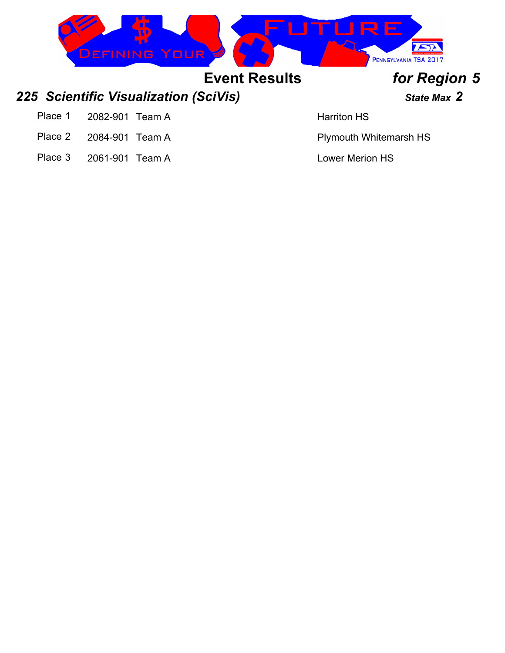

Place 3 2061-901 Team A Lower Merion HS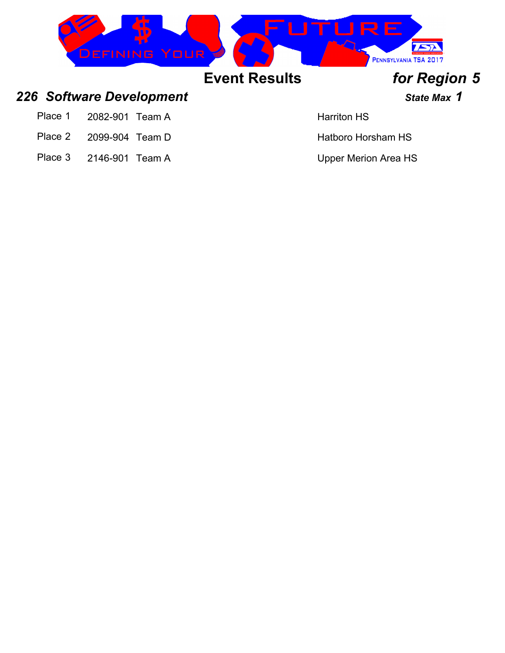

### 226 Software Development *226* State Max 1

- Place 1 2082-901 Team A Harriton HS
- Place 2 2099-904 Team D Hatboro Horsham HS
- Place 3 2146-901 Team A Upper Merion Area HS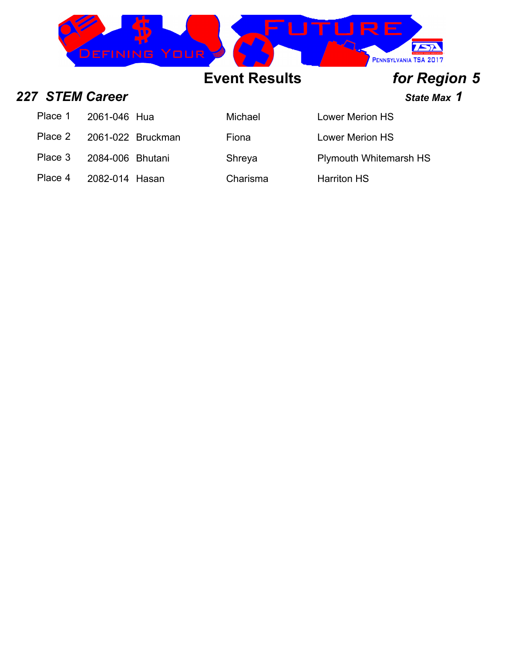

**227 STEM Career STEM Career State Max 1** 

Place 1 2061-046 Hua Michael Lower Merion HS

Place 2 2061-022 Bruckman Fiona Fiona Lower Merion HS

Place 3 2084-006 Bhutani Shreya Plymouth Whitemarsh HS

Place 4 2082-014 Hasan Charisma Harriton HS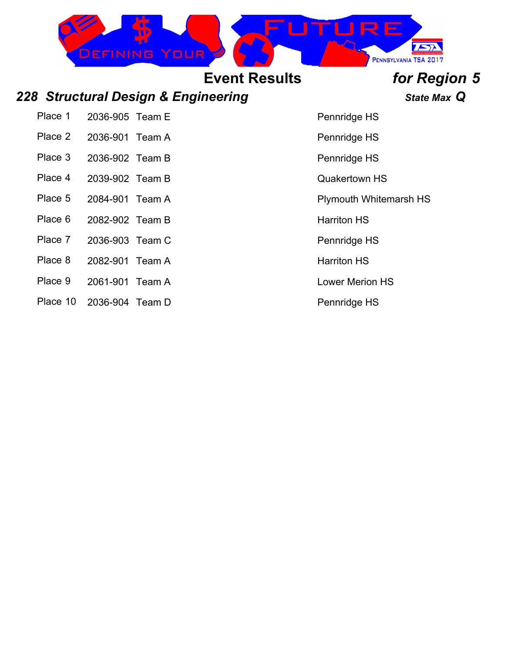

### *228 Structural Design & Engineering State Max Q*

Place 1 2036-905 Team E Place 1 2036-905 Team E

Place 2 2036-901 Team A Place 2 2036-901 Team A

Place 3 2036-902 Team B Place 3 Pennridge HS

Place 4 2039-902 Team B Quakertown HS

Place 5 2084-901 Team A Plymouth Whitemarsh HS

Place 6 2082-902 Team B Harriton HS

Place 7 2036-903 Team C Place 7 Pennridge HS

- Place 8 2082-901 Team A Harriton HS
- Place 9 2061-901 Team A Lower Merion HS
- Place 10 2036-904 Team D Place 10 Pennridge HS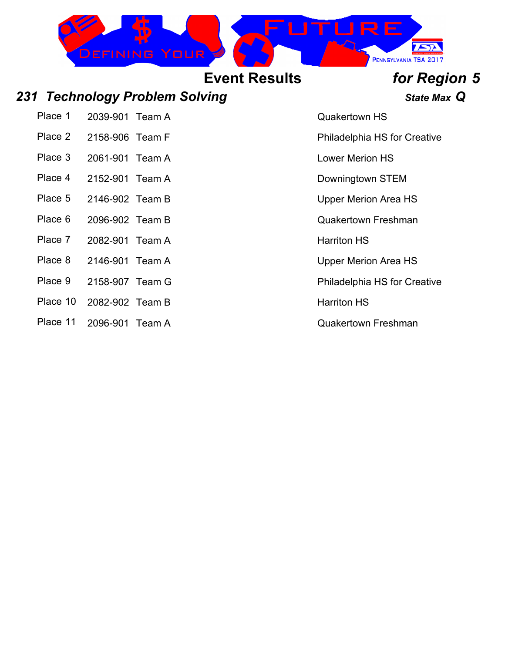

### *231 Technology Problem Solving State Max Q*

Place 1 2039-901 Team A Cuakertown HS

- 
- Place 3 2061-901 Team A Lower Merion HS
- Place 4 2152-901 Team A Downingtown STEM
- Place 5 2146-902 Team B Upper Merion Area HS
- Place 6 2096-902 Team B Class Cuakertown Freshman
- Place 7 2082-901 Team A Harriton HS
- Place 8 2146-901 Team A Upper Merion Area HS
- 
- Place 10 2082-902 Team B Harriton HS
- Place 11 2096-901 Team A Cuakertown Freshman

Place 2 2158-906 Team F Place 2 2158-906 Team F

Place 9 2158-907 Team G Place 9 2158-907 Team G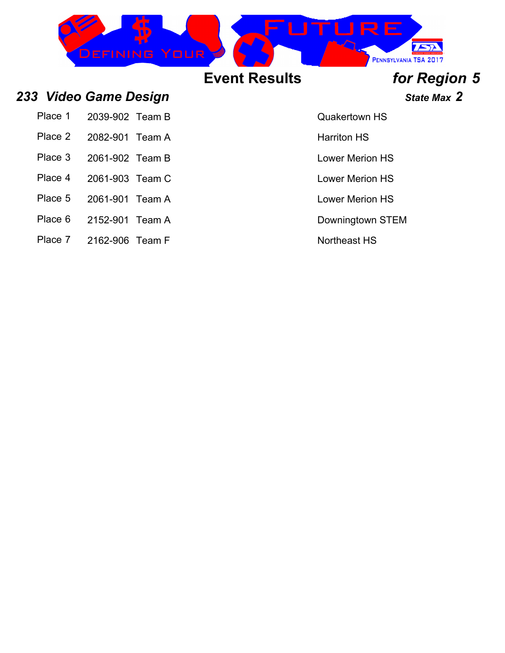

| Place 1 2039-902 Team B |  |
|-------------------------|--|
| Place 2 2082-901 Team A |  |
| Place 3 2061-902 Team B |  |

- Place 4 2061-903 Team C Lower Merion HS
- Place 5 2061-901 Team A Lower Merion HS
- Place 6 2152-901 Team A Downingtown STEM
- Place 7 2162-906 Team F Northeast HS

Place 2 2082-901 Team A Harriton HS

Place 3 2061-902 Services 2061-902 Services 2061-902 Services 3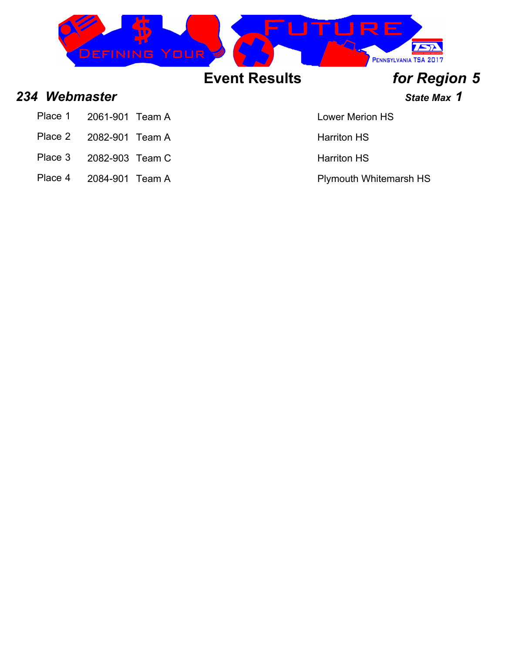

### **234 Webmaster State Max 1**

- Place 1 2061-901 Team A Lower Merion HS
- Place 2 2082-901 Team A Harriton HS
- Place 3 2082-903 Team C Harriton HS
- Place 4 2084-901 Team A Plymouth Whitemarsh HS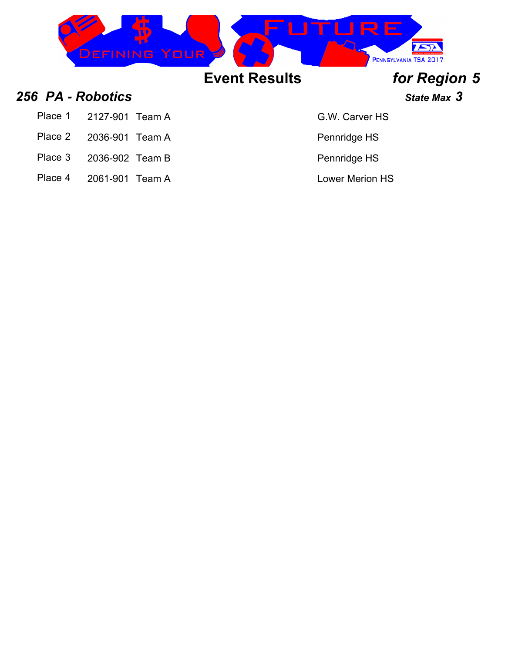

### **256 PA - Robotics State Max** 3

- Place 1 2127-901 Team A G.W. Carver HS
- Place 2 2036-901 Team A Place 2 2036-901 Team A
- Place 3 2036-902 Team B Place 3 2036-902 Team B
- Place 4 2061-901 Team A Lower Merion HS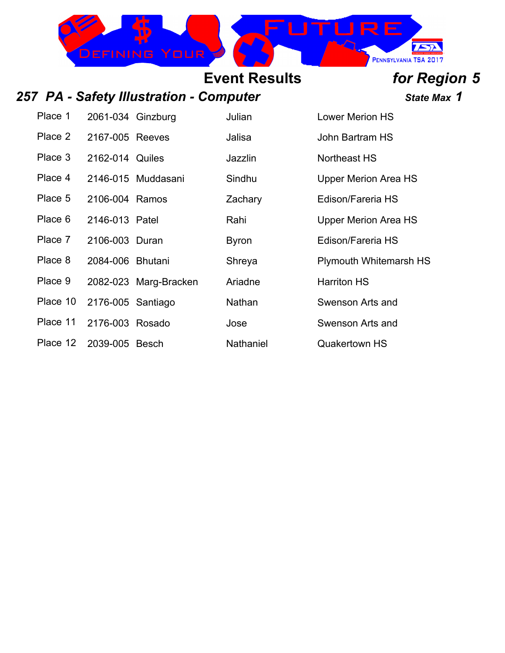

## 257 PA - Safety Illustration - Computer **1988** State Max 1

**Event Results** *for Region 5*

| Place 1  | 2061-034 Ginzburg |                       | Julian       | <b>Lower Merion HS</b>        |
|----------|-------------------|-----------------------|--------------|-------------------------------|
| Place 2  | 2167-005 Reeves   |                       | Jalisa       | John Bartram HS               |
| Place 3  | 2162-014 Quiles   |                       | Jazzlin      | Northeast HS                  |
| Place 4  |                   | 2146-015 Muddasani    | Sindhu       | <b>Upper Merion Area HS</b>   |
| Place 5  | 2106-004 Ramos    |                       | Zachary      | Edison/Fareria HS             |
| Place 6  | 2146-013 Patel    |                       | Rahi         | Upper Merion Area HS          |
| Place 7  | 2106-003 Duran    |                       | <b>Byron</b> | Edison/Fareria HS             |
| Place 8  | 2084-006 Bhutani  |                       | Shreya       | <b>Plymouth Whitemarsh HS</b> |
| Place 9  |                   | 2082-023 Marg-Bracken | Ariadne      | <b>Harriton HS</b>            |
| Place 10 | 2176-005 Santiago |                       | Nathan       | Swenson Arts and              |
| Place 11 | 2176-003 Rosado   |                       | Jose         | Swenson Arts and              |
| Place 12 | 2039-005 Besch    |                       | Nathaniel    | <b>Quakertown HS</b>          |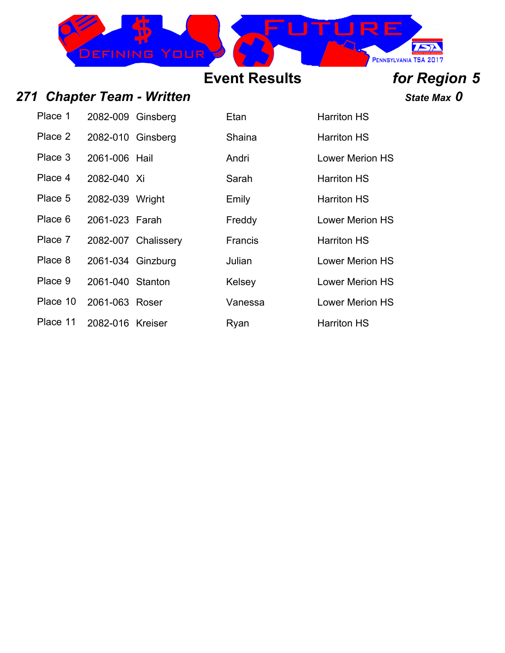

271 Chapter Team - Written *Particular Chapter Team - Written State Max 0* 

| Place 1  | 2082-009 Ginsberg |                     | Etan           | Harriton HS        |
|----------|-------------------|---------------------|----------------|--------------------|
| Place 2  | 2082-010 Ginsberg |                     | Shaina         | <b>Harriton HS</b> |
| Place 3  | 2061-006 Hail     |                     | Andri          | <b>Lower Merio</b> |
| Place 4  | 2082-040 Xi       |                     | Sarah          | <b>Harriton HS</b> |
| Place 5  | 2082-039 Wright   |                     | Emily          | <b>Harriton HS</b> |
| Place 6  | 2061-023 Farah    |                     | Freddy         | <b>Lower Merio</b> |
| Place 7  |                   | 2082-007 Chalissery | <b>Francis</b> | <b>Harriton HS</b> |
| Place 8  | 2061-034 Ginzburg |                     | Julian         | <b>Lower Merio</b> |
| Place 9  | 2061-040 Stanton  |                     | Kelsey         | <b>Lower Merio</b> |
| Place 10 | 2061-063 Roser    |                     | Vanessa        | <b>Lower Merio</b> |
| Place 11 | 2082-016 Kreiser  |                     | Ryan           | <b>Harriton HS</b> |

**Place 2 2082-010 Shaina Harriton HS** Andri **2061-2061** Lower Merion HS **Place 3 2082-040 Xi Sarah Harriton HS Emily Harriton HS** Freddy Lower Merion HS **Francis Harriton HS Place 8 2061-034 Sulian Lower Merion HS Kelsey 2061-2061-2061-2061** Lower Merion HS Vanessa Lower Merion HS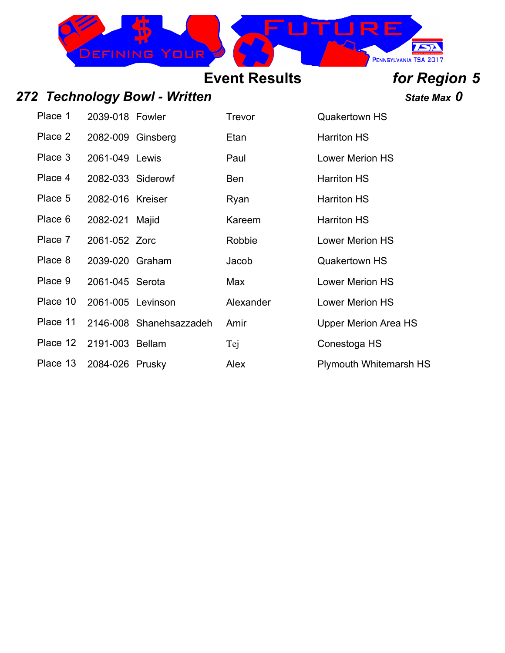

## *272 Technology Bowl - Written State Max 0*

| Place 1  | 2039-018 Fowler   |                         | Trevor     | <b>Quakertown HS</b>          |
|----------|-------------------|-------------------------|------------|-------------------------------|
| Place 2  | 2082-009 Ginsberg |                         | Etan       | <b>Harriton HS</b>            |
| Place 3  | 2061-049 Lewis    |                         | Paul       | <b>Lower Merion HS</b>        |
| Place 4  | 2082-033 Siderowf |                         | <b>Ben</b> | <b>Harriton HS</b>            |
| Place 5  | 2082-016 Kreiser  |                         | Ryan       | <b>Harriton HS</b>            |
| Place 6  | 2082-021 Majid    |                         | Kareem     | <b>Harriton HS</b>            |
| Place 7  | 2061-052 Zorc     |                         | Robbie     | <b>Lower Merion HS</b>        |
| Place 8  | 2039-020 Graham   |                         | Jacob      | <b>Quakertown HS</b>          |
| Place 9  | 2061-045 Serota   |                         | Max        | <b>Lower Merion HS</b>        |
| Place 10 | 2061-005 Levinson |                         | Alexander  | <b>Lower Merion HS</b>        |
| Place 11 |                   | 2146-008 Shanehsazzadeh | Amir       | Upper Merion Area HS          |
| Place 12 | 2191-003 Bellam   |                         | Tej        | Conestoga HS                  |
| Place 13 | 2084-026 Prusky   |                         | Alex       | <b>Plymouth Whitemarsh HS</b> |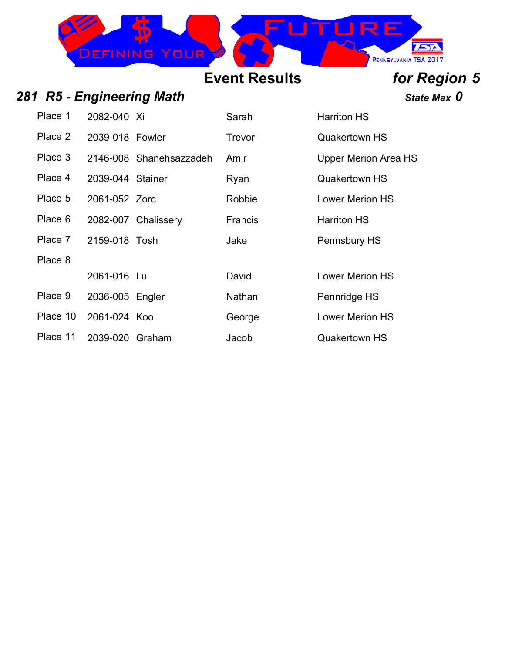

## **281 R5 - Engineering Math State Max 0** State Max 0

| Place 1  | 2082-040 Xi      |                         | Sarah          | <b>Harriton HS</b>          |
|----------|------------------|-------------------------|----------------|-----------------------------|
| Place 2  | 2039-018 Fowler  |                         | <b>Trevor</b>  | <b>Quakertown HS</b>        |
| Place 3  |                  | 2146-008 Shanehsazzadeh | Amir           | <b>Upper Merion Area HS</b> |
| Place 4  | 2039-044 Stainer |                         | Ryan           | <b>Quakertown HS</b>        |
| Place 5  | 2061-052 Zorc    |                         | Robbie         | <b>Lower Merion HS</b>      |
| Place 6  |                  | 2082-007 Chalissery     | <b>Francis</b> | <b>Harriton HS</b>          |
| Place 7  | 2159-018 Tosh    |                         | Jake           | Pennsbury HS                |
| Place 8  |                  |                         |                |                             |
|          | 2061-016 Lu      |                         | David          | <b>Lower Merion HS</b>      |
| Place 9  | 2036-005 Engler  |                         | Nathan         | Pennridge HS                |
| Place 10 | 2061-024 Koo     |                         | George         | <b>Lower Merion HS</b>      |
| Place 11 | 2039-020 Graham  |                         | Jacob          | <b>Quakertown HS</b>        |